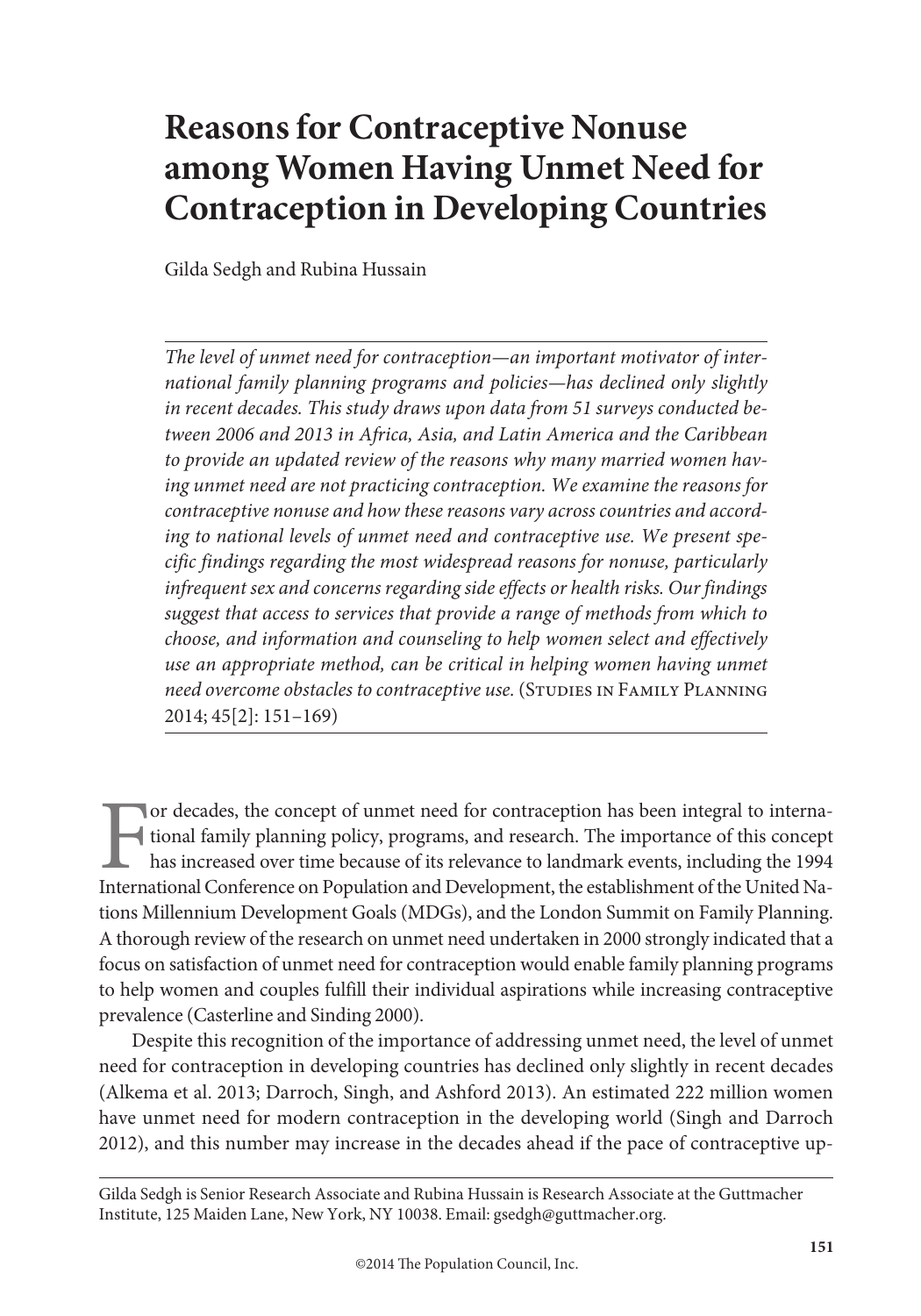# **Reasons for Contraceptive Nonuse among Women Having Unmet Need for Contraception in Developing Countries**

Gilda Sedgh and Rubina Hussain

*The level of unmet need for contraception—an important motivator of international family planning programs and policies—has declined only slightly in recent decades. This study draws upon data from 51 surveys conducted between 2006 and 2013 in Africa, Asia, and Latin America and the Caribbean to provide an updated review of the reasons why many married women having unmet need are not practicing contraception. We examine the reasons for contraceptive nonuse and how these reasons vary across countries and according to national levels of unmet need and contraceptive use. We present specific findings regarding the most widespread reasons for nonuse, particularly infrequent sex and concerns regarding side effects or health risks. Our findings suggest that access to services that provide a range of methods from which to choose, and information and counseling to help women select and effectively use an appropriate method, can be critical in helping women having unmet need overcome obstacles to contraceptive use.* (STUDIES IN FAMILY PLANNING 2014; 45[2]: 151–169)

For decades, the concept of unmet need for contraception has been integral to interna-<br>tional family planning policy, programs, and research. The importance of this concept<br>has increased over time because of its relevance tional family planning policy, programs, and research. The importance of this concept has increased over time because of its relevance to landmark events, including the 1994 International Conference on Population and Development, the establishment of the United Nations Millennium Development Goals (MDGs), and the London Summit on Family Planning. A thorough review of the research on unmet need undertaken in 2000 strongly indicated that a focus on satisfaction of unmet need for contraception would enable family planning programs to help women and couples fulfill their individual aspirations while increasing contraceptive prevalence (Casterline and Sinding 2000).

Despite this recognition of the importance of addressing unmet need, the level of unmet need for contraception in developing countries has declined only slightly in recent decades (Alkema et al. 2013; Darroch, Singh, and Ashford 2013). An estimated 222 million women have unmet need for modern contraception in the developing world (Singh and Darroch 2012), and this number may increase in the decades ahead if the pace of contraceptive up-

Gilda Sedgh is Senior Research Associate and Rubina Hussain is Research Associate at the Guttmacher Institute, 125 Maiden Lane, New York, NY 10038. Email: gsedgh@guttmacher.org.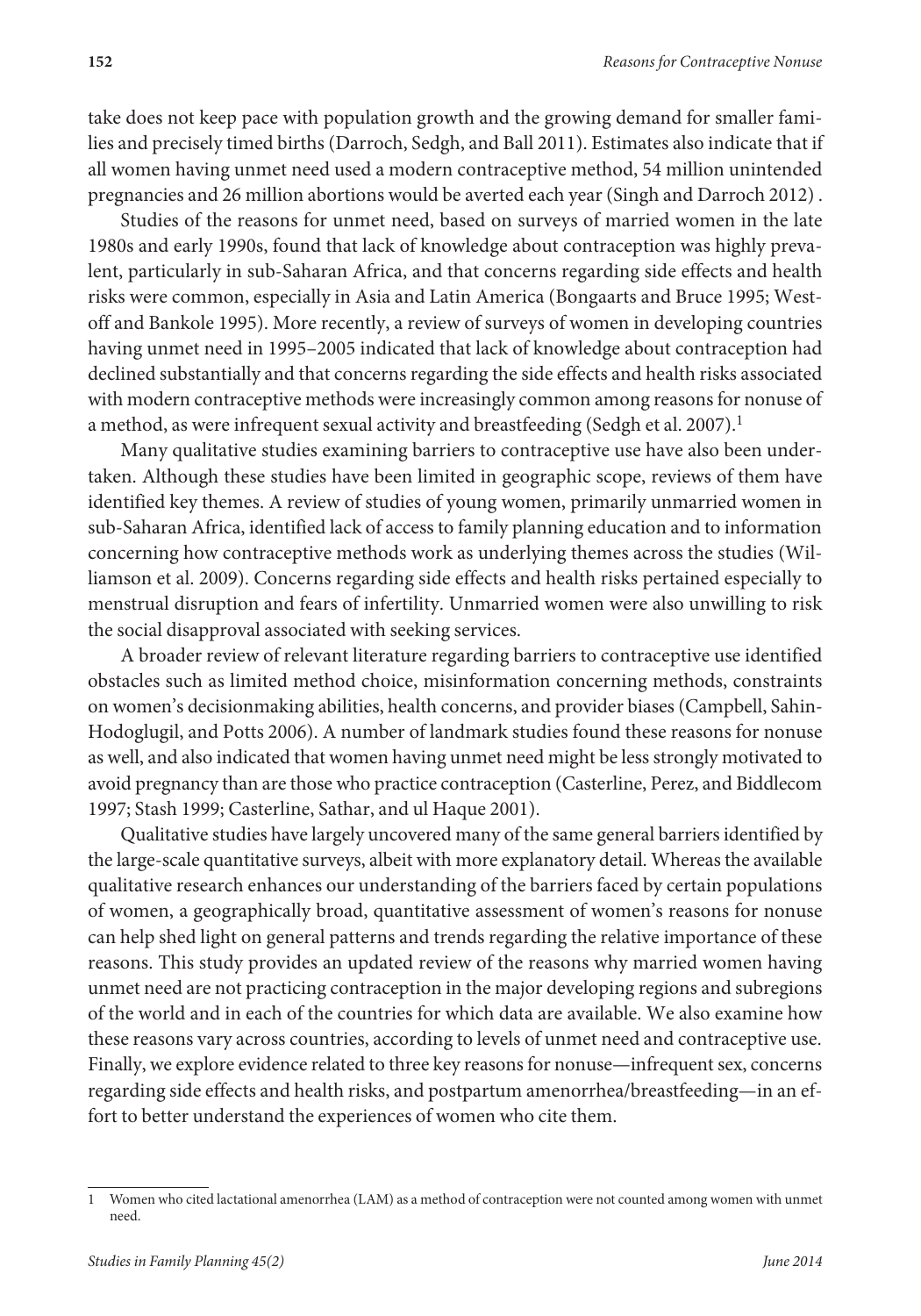take does not keep pace with population growth and the growing demand for smaller families and precisely timed births (Darroch, Sedgh, and Ball 2011). Estimates also indicate that if all women having unmet need used a modern contraceptive method, 54 million unintended pregnancies and 26 million abortions would be averted each year (Singh and Darroch 2012) .

Studies of the reasons for unmet need, based on surveys of married women in the late 1980s and early 1990s, found that lack of knowledge about contraception was highly prevalent, particularly in sub-Saharan Africa, and that concerns regarding side effects and health risks were common, especially in Asia and Latin America (Bongaarts and Bruce 1995; Westoff and Bankole 1995). More recently, a review of surveys of women in developing countries having unmet need in 1995–2005 indicated that lack of knowledge about contraception had declined substantially and that concerns regarding the side effects and health risks associated with modern contraceptive methods were increasingly common among reasons for nonuse of a method, as were infrequent sexual activity and breastfeeding (Sedgh et al. 2007).<sup>1</sup>

Many qualitative studies examining barriers to contraceptive use have also been undertaken. Although these studies have been limited in geographic scope, reviews of them have identified key themes. A review of studies of young women, primarily unmarried women in sub-Saharan Africa, identified lack of access to family planning education and to information concerning how contraceptive methods work as underlying themes across the studies (Williamson et al. 2009). Concerns regarding side effects and health risks pertained especially to menstrual disruption and fears of infertility. Unmarried women were also unwilling to risk the social disapproval associated with seeking services.

A broader review of relevant literature regarding barriers to contraceptive use identified obstacles such as limited method choice, misinformation concerning methods, constraints on women's decisionmaking abilities, health concerns, and provider biases (Campbell, Sahin-Hodoglugil, and Potts 2006). A number of landmark studies found these reasons for nonuse as well, and also indicated that women having unmet need might be less strongly motivated to avoid pregnancy than are those who practice contraception (Casterline, Perez, and Biddlecom 1997; Stash 1999; Casterline, Sathar, and ul Haque 2001).

Qualitative studies have largely uncovered many of the same general barriers identified by the large-scale quantitative surveys, albeit with more explanatory detail. Whereas the available qualitative research enhances our understanding of the barriers faced by certain populations of women, a geographically broad, quantitative assessment of women's reasons for nonuse can help shed light on general patterns and trends regarding the relative importance of these reasons. This study provides an updated review of the reasons why married women having unmet need are not practicing contraception in the major developing regions and subregions of the world and in each of the countries for which data are available. We also examine how these reasons vary across countries, according to levels of unmet need and contraceptive use. Finally, we explore evidence related to three key reasons for nonuse—infrequent sex, concerns regarding side effects and health risks, and postpartum amenorrhea/breastfeeding—in an effort to better understand the experiences of women who cite them.

<sup>1</sup> Women who cited lactational amenorrhea (LAM) as a method of contraception were not counted among women with unmet need.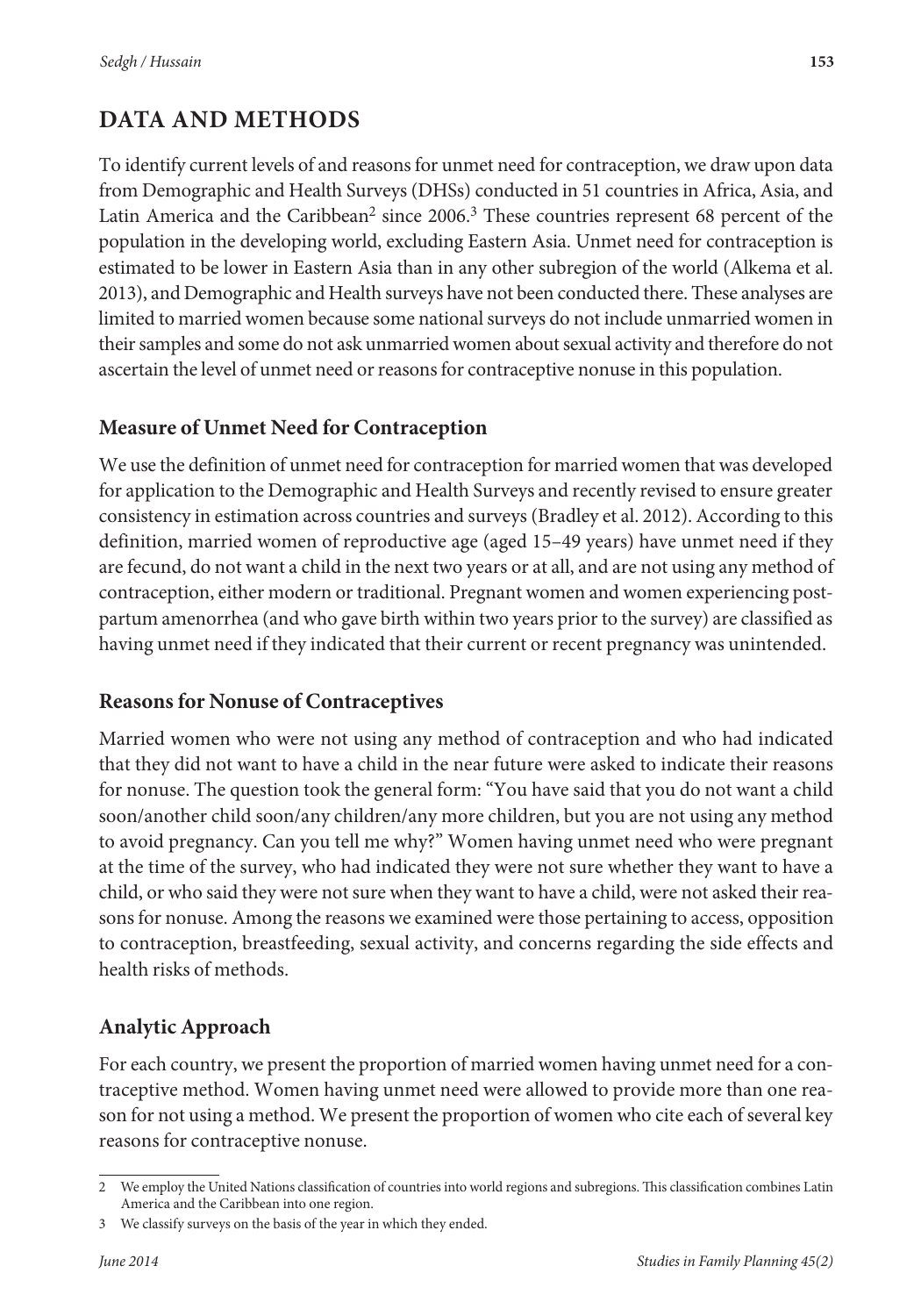# **DATA AND METHODS**

To identify current levels of and reasons for unmet need for contraception, we draw upon data from Demographic and Health Surveys (DHSs) conducted in 51 countries in Africa, Asia, and Latin America and the Caribbean<sup>2</sup> since  $2006$ <sup>3</sup> These countries represent 68 percent of the population in the developing world, excluding Eastern Asia. Unmet need for contraception is estimated to be lower in Eastern Asia than in any other subregion of the world (Alkema et al. 2013), and Demographic and Health surveys have not been conducted there. These analyses are limited to married women because some national surveys do not include unmarried women in their samples and some do not ask unmarried women about sexual activity and therefore do not ascertain the level of unmet need or reasons for contraceptive nonuse in this population.

## **Measure of Unmet Need for Contraception**

We use the definition of unmet need for contraception for married women that was developed for application to the Demographic and Health Surveys and recently revised to ensure greater consistency in estimation across countries and surveys (Bradley et al. 2012). According to this definition, married women of reproductive age (aged 15–49 years) have unmet need if they are fecund, do not want a child in the next two years or at all, and are not using any method of contraception, either modern or traditional. Pregnant women and women experiencing postpartum amenorrhea (and who gave birth within two years prior to the survey) are classified as having unmet need if they indicated that their current or recent pregnancy was unintended.

## **Reasons for Nonuse of Contraceptives**

Married women who were not using any method of contraception and who had indicated that they did not want to have a child in the near future were asked to indicate their reasons for nonuse. The question took the general form: "You have said that you do not want a child soon/another child soon/any children/any more children, but you are not using any method to avoid pregnancy. Can you tell me why?" Women having unmet need who were pregnant at the time of the survey, who had indicated they were not sure whether they want to have a child, or who said they were not sure when they want to have a child, were not asked their reasons for nonuse. Among the reasons we examined were those pertaining to access, opposition to contraception, breastfeeding, sexual activity, and concerns regarding the side effects and health risks of methods.

## **Analytic Approach**

For each country, we present the proportion of married women having unmet need for a contraceptive method. Women having unmet need were allowed to provide more than one reason for not using a method. We present the proportion of women who cite each of several key reasons for contraceptive nonuse.

<sup>2</sup> We employ the United Nations classification of countries into world regions and subregions. This classification combines Latin America and the Caribbean into one region.

<sup>3</sup> We classify surveys on the basis of the year in which they ended.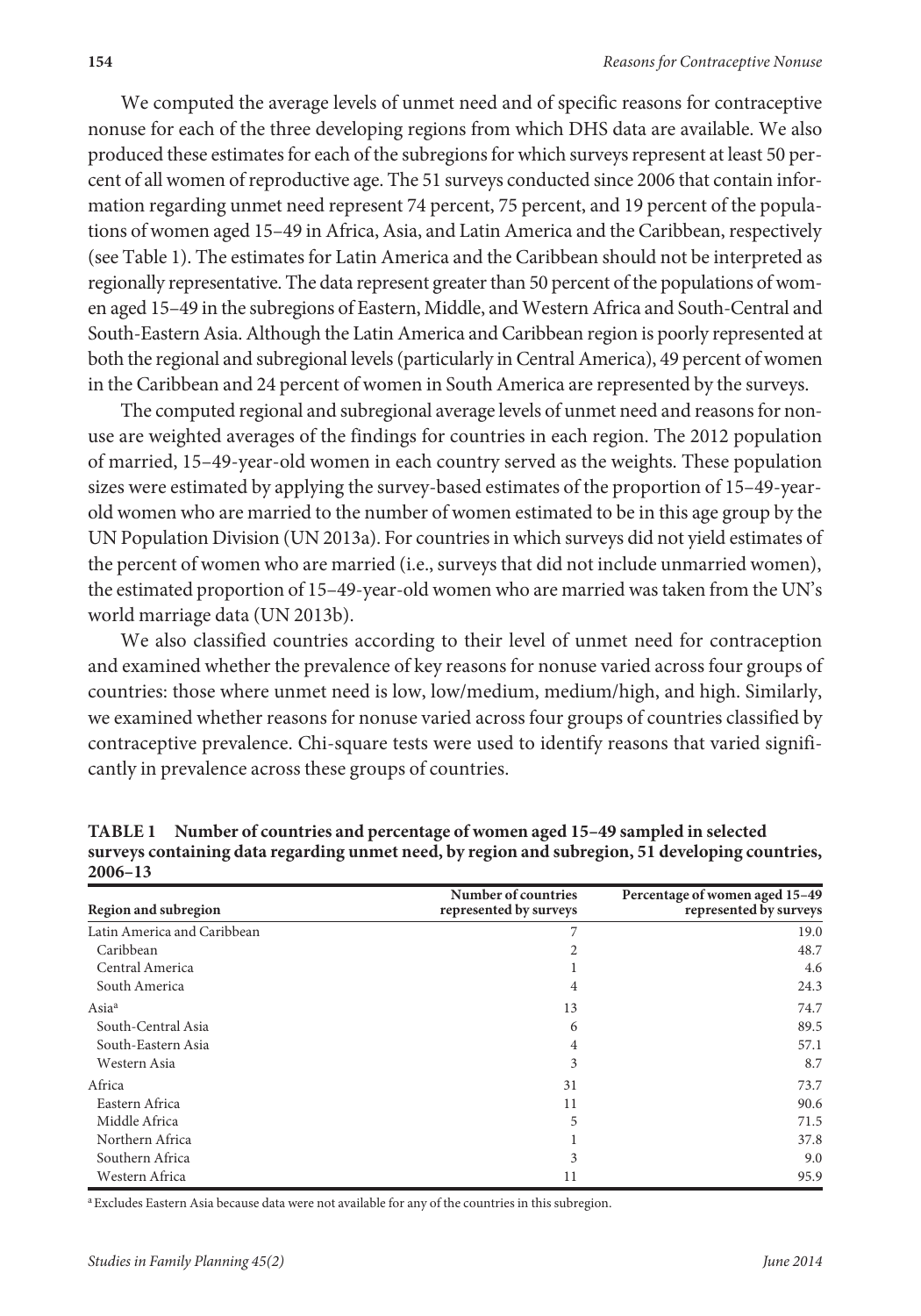We computed the average levels of unmet need and of specific reasons for contraceptive nonuse for each of the three developing regions from which DHS data are available. We also produced these estimates for each of the subregions for which surveys represent at least 50 percent of all women of reproductive age. The 51 surveys conducted since 2006 that contain information regarding unmet need represent 74 percent, 75 percent, and 19 percent of the populations of women aged 15–49 in Africa, Asia, and Latin America and the Caribbean, respectively (see Table 1). The estimates for Latin America and the Caribbean should not be interpreted as regionally representative. The data represent greater than 50 percent of the populations of women aged 15–49 in the subregions of Eastern, Middle, and Western Africa and South-Central and South-Eastern Asia. Although the Latin America and Caribbean region is poorly represented at both the regional and subregional levels (particularly in Central America), 49 percent of women in the Caribbean and 24 percent of women in South America are represented by the surveys.

The computed regional and subregional average levels of unmet need and reasons for nonuse are weighted averages of the findings for countries in each region. The 2012 population of married, 15–49-year-old women in each country served as the weights. These population sizes were estimated by applying the survey-based estimates of the proportion of 15–49-yearold women who are married to the number of women estimated to be in this age group by the UN Population Division (UN 2013a). For countries in which surveys did not yield estimates of the percent of women who are married (i.e., surveys that did not include unmarried women), the estimated proportion of 15–49-year-old women who are married was taken from the UN's world marriage data (UN 2013b).

We also classified countries according to their level of unmet need for contraception and examined whether the prevalence of key reasons for nonuse varied across four groups of countries: those where unmet need is low, low/medium, medium/high, and high. Similarly, we examined whether reasons for nonuse varied across four groups of countries classified by contraceptive prevalence. Chi-square tests were used to identify reasons that varied significantly in prevalence across these groups of countries.

| Region and subregion        | Number of countries<br>represented by surveys | Percentage of women aged 15-49<br>represented by surveys |
|-----------------------------|-----------------------------------------------|----------------------------------------------------------|
| Latin America and Caribbean | 7                                             | 19.0                                                     |
| Caribbean                   | $\overline{c}$                                | 48.7                                                     |
| Central America             |                                               | 4.6                                                      |
| South America               | 4                                             | 24.3                                                     |
| Asia <sup>a</sup>           | 13                                            | 74.7                                                     |
| South-Central Asia          | 6                                             | 89.5                                                     |
| South-Eastern Asia          | 4                                             | 57.1                                                     |
| Western Asia                | 3                                             | 8.7                                                      |
| Africa                      | 31                                            | 73.7                                                     |
| Eastern Africa              | 11                                            | 90.6                                                     |
| Middle Africa               | 5                                             | 71.5                                                     |
| Northern Africa             |                                               | 37.8                                                     |
| Southern Africa             | 3                                             | 9.0                                                      |
| Western Africa              | 11                                            | 95.9                                                     |

**TABLE 1 Number of countries and percentage of women aged 15–49 sampled in selected surveys containing data regarding unmet need, by region and subregion, 51 developing countries, 2006–13**

<sup>a</sup> Excludes Eastern Asia because data were not available for any of the countries in this subregion.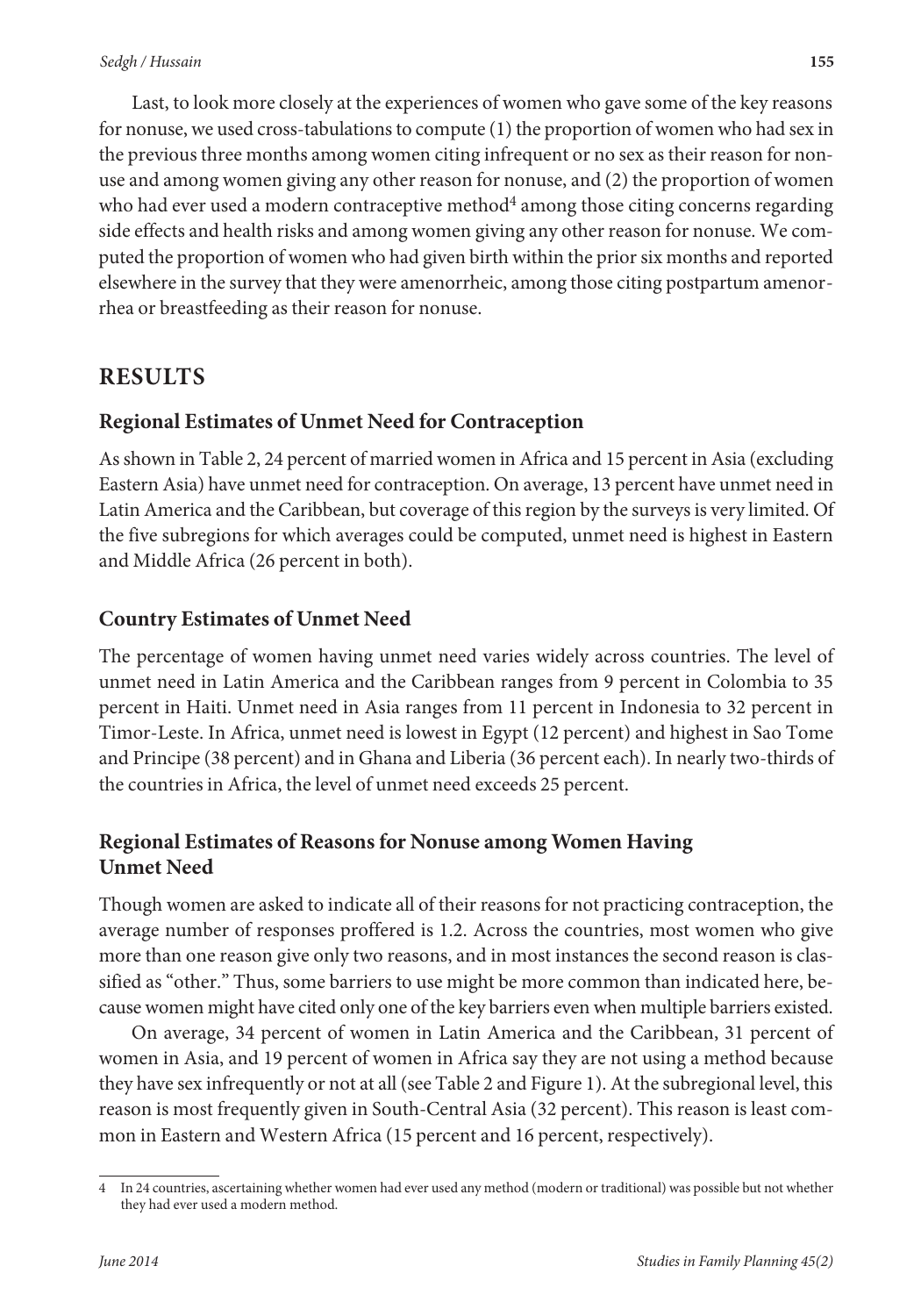Last, to look more closely at the experiences of women who gave some of the key reasons for nonuse, we used cross-tabulations to compute (1) the proportion of women who had sex in the previous three months among women citing infrequent or no sex as their reason for nonuse and among women giving any other reason for nonuse, and (2) the proportion of women who had ever used a modern contraceptive method $4$  among those citing concerns regarding side effects and health risks and among women giving any other reason for nonuse. We computed the proportion of women who had given birth within the prior six months and reported elsewhere in the survey that they were amenorrheic, among those citing postpartum amenorrhea or breastfeeding as their reason for nonuse.

## **RESULTS**

## **Regional Estimates of Unmet Need for Contraception**

As shown in Table 2, 24 percent of married women in Africa and 15 percent in Asia (excluding Eastern Asia) have unmet need for contraception. On average, 13 percent have unmet need in Latin America and the Caribbean, but coverage of this region by the surveys is very limited. Of the five subregions for which averages could be computed, unmet need is highest in Eastern and Middle Africa (26 percent in both).

## **Country Estimates of Unmet Need**

The percentage of women having unmet need varies widely across countries. The level of unmet need in Latin America and the Caribbean ranges from 9 percent in Colombia to 35 percent in Haiti. Unmet need in Asia ranges from 11 percent in Indonesia to 32 percent in Timor-Leste. In Africa, unmet need is lowest in Egypt (12 percent) and highest in Sao Tome and Principe (38 percent) and in Ghana and Liberia (36 percent each). In nearly two-thirds of the countries in Africa, the level of unmet need exceeds 25 percent.

## **Regional Estimates of Reasons for Nonuse among Women Having Unmet Need**

Though women are asked to indicate all of their reasons for not practicing contraception, the average number of responses proffered is 1.2. Across the countries, most women who give more than one reason give only two reasons, and in most instances the second reason is classified as "other." Thus, some barriers to use might be more common than indicated here, because women might have cited only one of the key barriers even when multiple barriers existed.

On average, 34 percent of women in Latin America and the Caribbean, 31 percent of women in Asia, and 19 percent of women in Africa say they are not using a method because they have sex infrequently or not at all (see Table 2 and Figure 1). At the subregional level, this reason is most frequently given in South-Central Asia (32 percent). This reason is least common in Eastern and Western Africa (15 percent and 16 percent, respectively).

<sup>4</sup> In 24 countries, ascertaining whether women had ever used any method (modern or traditional) was possible but not whether they had ever used a modern method.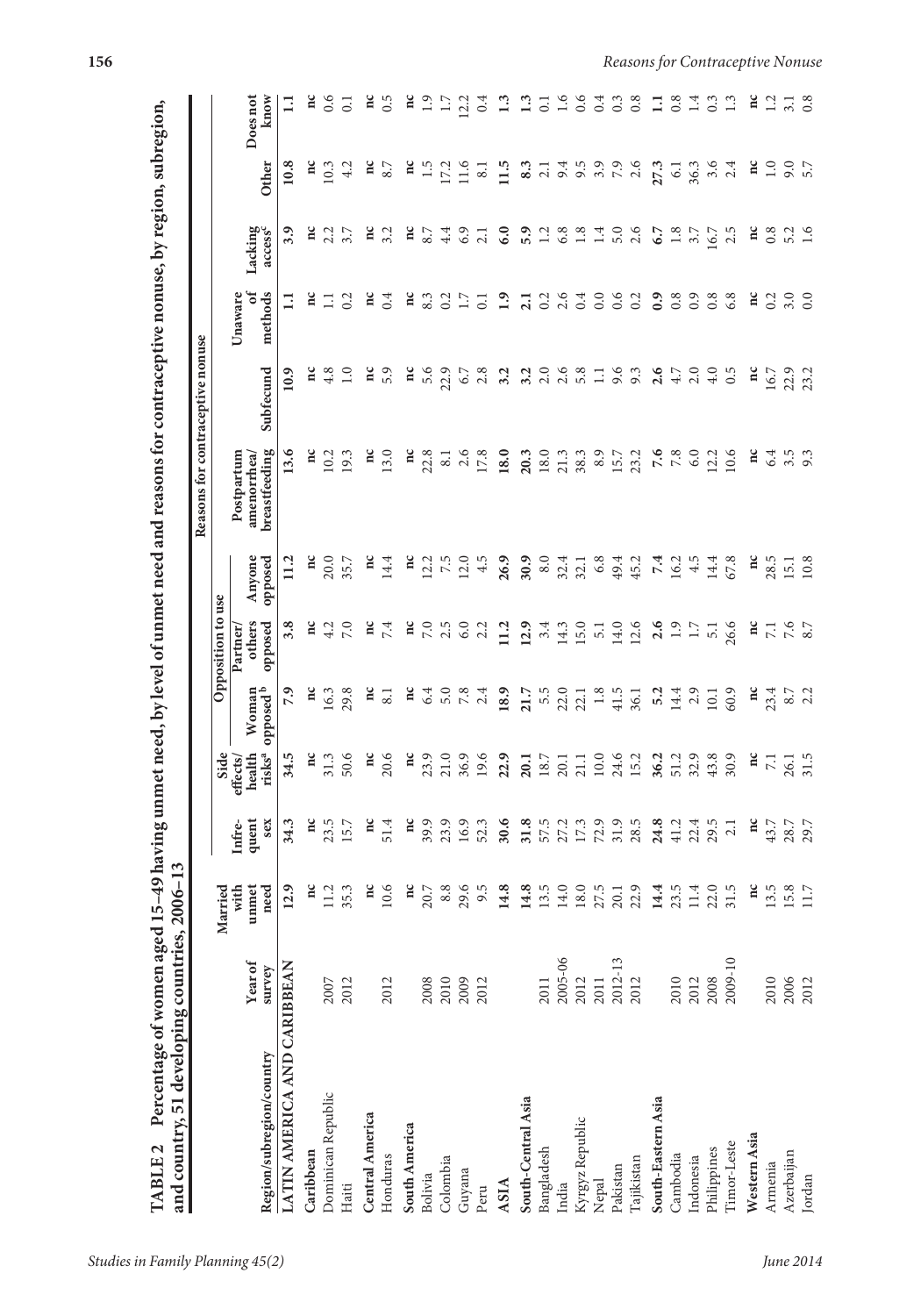| ווים מזה                      |                       |
|-------------------------------|-----------------------|
| <br> <br>                     |                       |
| I                             |                       |
| <b>TANK CONTROL</b><br>ì      |                       |
|                               |                       |
|                               |                       |
|                               |                       |
|                               |                       |
| <b>CAL DIARTHOUSE ARE</b>     |                       |
| ۱,                            |                       |
| S<br>S                        |                       |
|                               |                       |
|                               |                       |
| i<br>K                        |                       |
| wat naad av                   |                       |
|                               |                       |
|                               |                       |
|                               |                       |
|                               |                       |
|                               |                       |
|                               |                       |
| Thumb need by ever            |                       |
|                               |                       |
|                               |                       |
|                               |                       |
| ;;                            |                       |
|                               | -<br> <br>Į           |
| $\overline{a}$<br>I<br>ļ<br>j |                       |
| ł<br>ed .                     |                       |
| men ao.<br>j                  |                       |
|                               | ountr                 |
| <b>.</b><br>יאוד              |                       |
|                               |                       |
| J                             | ים הוחסומה (Pyeloming |
| į                             |                       |
| ׇ֚֓֡<br>ı<br>Ė<br>l           | i                     |
| 1<br>¢                        | country.              |
| l<br>$\mathbf{F}$<br>I        |                       |
| j<br>١                        |                       |

| $rac{nc}{0.5}$<br>$\frac{3}{1.7}$<br>$\frac{12}{6}$<br>0.3<br>$1.2$ $3.1$<br>0.8<br>3.9<br>10.8<br>nc<br>$1.5$<br>$17.2$<br>1.5<br>$3.145$<br>$3.45$<br>2.6<br>27.3<br>36.3<br>$3.\overline{6}$<br>2.4<br>nc<br>$1.0\,$<br>$9.0$<br>5.7<br>Other<br>10.3<br>4.2<br>hc<br>8.7<br>nc<br>11.6<br>8.1<br>$\overline{61}$<br>Lacking<br>access <sup>c</sup><br>3.9<br>nc<br>$2.2$<br>$3.7$<br>nc<br>nc<br>$8.7\,$<br>6.9<br>6.0<br>5.9<br>1.2<br>6.8<br>1.8<br>1.4<br>5.0<br>2.6<br>6.7<br>$1.8\,$<br>3.7<br>16.7<br>2.5<br>hc<br>0.8<br>$5.2$<br>1.6<br>3.2<br>4.4<br>2.1<br>$0.26$<br>$0.4$<br>0.0<br>0.6<br>0.9<br>್<br>methods<br>nc<br>$0.2$ i.7<br>$\frac{9}{1}$<br>0.2<br>0.8<br>0.9<br>$0.8\,$<br>6.8<br>nc<br>$0.2$<br>$3.0$<br>$0.0$<br>ă<br>0.2<br>0.4<br>ă<br>8.3<br>Unaware<br>$\overline{0}$ .<br>2.1<br>Ξ<br>Ξ<br>5.6<br>5.9<br>22.9<br>2.8<br>$3.068$<br>$2.068$<br>9.6<br>2.6<br>2.0<br>4.0<br>22.9<br>Subfecund<br>4.8<br>$\overline{1.0}$<br>ă<br>ă<br>9.3<br>$4.7$<br>0.5<br>16.7<br>10.9<br>ă<br>6.7<br>3.2<br>ă<br>23.2<br>$\Box$<br>breastfeeding<br>13.6<br>22.8<br>2.6<br>38.3<br>8.9<br>7.6<br>7.8<br>$6.0\,$<br>10.6<br>6.4<br>3.5<br>ă<br>10.2<br>19.3<br>ă<br>13.0<br>nc<br>17.8<br>18.0<br>20.3<br>18.0<br>21.3<br>15.7<br>23.2<br>nc<br>8.1<br>12.2<br>9.3<br>Postpartum<br>amenorrhea/<br>Anyone<br>opposed<br>ă<br>20.0<br>$12.2$<br>7.5<br>12.0<br>4.5<br>26.9<br>30.9<br>$8.0$<br>$32.1$<br>6.8<br>7.4<br>11.2<br>35.7<br>ă<br>14.4<br>nc<br>49.4<br>45.2<br>16.2<br>4.5<br>14.4<br>67.8<br>$\overline{\mathbf{u}}$<br>28.5<br>10.8<br>15.1<br>Opposition to use<br>others<br>opposed<br>3.8<br>7.0<br>$7.\overline{0}$<br>$6.\overline{0}$<br>$12.9$<br>3.4<br>15.0<br>14.0<br>12.6<br>$2.6$<br>1.9<br>26.6<br>n <sub>c</sub><br>7.16<br>7.6<br>ă<br>4.2<br>$\frac{nc}{7.4}$<br>n <sub>c</sub><br>2.2<br>$\frac{12}{1}$<br>14.3<br>5.1<br>$1.7\,$<br>$5.1\,$<br>Partner/<br>Woman<br>opposed <sup>b</sup><br>ă<br>29.8<br>$6.384$<br>$6.084$<br>8.9<br>$21.7$<br>5.5<br>$22.0$<br>$22.1$<br>$1.8\,$<br>41.5<br>5.2<br>2.9<br>6.3<br>ă<br>n <sub>c</sub><br>14.4<br>50.9<br>$n$ c<br>23.4<br>$8.7\,$<br>2.2<br>36.1<br>10.1<br>8.1<br>risks <sup>a</sup><br>health<br>34.5<br>ă<br>31.3<br>50.6<br>ă<br>20.6<br>nc<br>23.9<br>21.0<br>36.9<br>19.6<br>22.9<br>10.0<br>24.6<br>36.2<br>32.9<br>43.8<br>30.9<br>Side<br>18.7<br>15.2<br>51.2<br>nc<br>21.1<br>26.1<br>31.5<br>20.1<br>20.1<br>$\overline{z}$<br>effects/<br>16.9<br>30.6<br>31.8<br>72.9<br>31.9<br>34.3<br>ă<br>23.5<br>15.7<br>51.4<br>39.9<br>23.9<br>52.3<br>57.5<br>27.2<br>17.3<br>28.5<br>24.8<br>quent<br>sex<br>hc<br>nc<br>41.2<br>22.4<br>29.5<br>ă<br>43.7<br>28.7<br>Infre-<br>29.7<br>2.1<br>$14.0$ $14.0$ $25.0$ $25.0$ $25.0$ $25.0$<br>Married<br>with<br>$\frac{1}{\text{med}}$<br>12.9<br>$\frac{12}{11.2}$<br>nc<br>$10.6\,$<br>$\frac{120.7}{20.8}$<br>20.7<br>29.6<br>14.8<br>14.4<br>$\begin{array}{c} 23.5 \\ 11.4 \\ 22.0 \\ 31.5 \end{array}$<br>$13.5$<br>$15.8$<br>$11.7$<br>2005-06<br>2012-13<br>2009-10<br>Year of<br>LATIN AMERICA AND CARIBBEAN<br>survey<br>2011<br>2012<br>2010<br>2010<br>2006<br>2012<br>2008<br>2010<br>2009<br>2012<br>2011<br>2012<br>2008<br>2007<br>2012<br>2012<br>2012<br>Region/subregion/country<br>Dominican Republic<br>South-Central Asia<br>South-Eastern Asia<br>Central America<br>Kyrgyz Republic<br>South America<br>Western Asia<br>Timor-Leste<br>Bangladesh<br>Philippines<br>Caribbean<br>Azerbaijan<br>Cambodia<br>Honduras<br>Tajikistan<br>Indonesia<br>Colombia<br>Armenia<br>Pakistan<br>Guyana<br>Bolivia<br>Jordan<br><b>ASIA</b><br>Nepal<br>India<br>Haiti<br>Peru |  |  |  |  | Reasons for contraceptive nonuse |  |  |                         |
|---------------------------------------------------------------------------------------------------------------------------------------------------------------------------------------------------------------------------------------------------------------------------------------------------------------------------------------------------------------------------------------------------------------------------------------------------------------------------------------------------------------------------------------------------------------------------------------------------------------------------------------------------------------------------------------------------------------------------------------------------------------------------------------------------------------------------------------------------------------------------------------------------------------------------------------------------------------------------------------------------------------------------------------------------------------------------------------------------------------------------------------------------------------------------------------------------------------------------------------------------------------------------------------------------------------------------------------------------------------------------------------------------------------------------------------------------------------------------------------------------------------------------------------------------------------------------------------------------------------------------------------------------------------------------------------------------------------------------------------------------------------------------------------------------------------------------------------------------------------------------------------------------------------------------------------------------------------------------------------------------------------------------------------------------------------------------------------------------------------------------------------------------------------------------------------------------------------------------------------------------------------------------------------------------------------------------------------------------------------------------------------------------------------------------------------------------------------------------------------------------------------------------------------------------------------------------------------------------------------------------------------------------------------------------------------------------------------------------------------------------------------------------------------------------------------------------------------------------------------------------------------------------------------------------------------------------------------------------------------------------------------------------------------------------------------------------------------------------------------------------------------------------------------------------------------------------------------------------------------------------------------------------------------------------------------------------------------------------------------------------------------------------------------------------------------------------------------------------------------------------------------------------------------------------------------------------------------------------------------------------------------------------|--|--|--|--|----------------------------------|--|--|-------------------------|
|                                                                                                                                                                                                                                                                                                                                                                                                                                                                                                                                                                                                                                                                                                                                                                                                                                                                                                                                                                                                                                                                                                                                                                                                                                                                                                                                                                                                                                                                                                                                                                                                                                                                                                                                                                                                                                                                                                                                                                                                                                                                                                                                                                                                                                                                                                                                                                                                                                                                                                                                                                                                                                                                                                                                                                                                                                                                                                                                                                                                                                                                                                                                                                                                                                                                                                                                                                                                                                                                                                                                                                                                                                                   |  |  |  |  |                                  |  |  |                         |
|                                                                                                                                                                                                                                                                                                                                                                                                                                                                                                                                                                                                                                                                                                                                                                                                                                                                                                                                                                                                                                                                                                                                                                                                                                                                                                                                                                                                                                                                                                                                                                                                                                                                                                                                                                                                                                                                                                                                                                                                                                                                                                                                                                                                                                                                                                                                                                                                                                                                                                                                                                                                                                                                                                                                                                                                                                                                                                                                                                                                                                                                                                                                                                                                                                                                                                                                                                                                                                                                                                                                                                                                                                                   |  |  |  |  |                                  |  |  | Does not<br>know        |
|                                                                                                                                                                                                                                                                                                                                                                                                                                                                                                                                                                                                                                                                                                                                                                                                                                                                                                                                                                                                                                                                                                                                                                                                                                                                                                                                                                                                                                                                                                                                                                                                                                                                                                                                                                                                                                                                                                                                                                                                                                                                                                                                                                                                                                                                                                                                                                                                                                                                                                                                                                                                                                                                                                                                                                                                                                                                                                                                                                                                                                                                                                                                                                                                                                                                                                                                                                                                                                                                                                                                                                                                                                                   |  |  |  |  |                                  |  |  | Ξ                       |
|                                                                                                                                                                                                                                                                                                                                                                                                                                                                                                                                                                                                                                                                                                                                                                                                                                                                                                                                                                                                                                                                                                                                                                                                                                                                                                                                                                                                                                                                                                                                                                                                                                                                                                                                                                                                                                                                                                                                                                                                                                                                                                                                                                                                                                                                                                                                                                                                                                                                                                                                                                                                                                                                                                                                                                                                                                                                                                                                                                                                                                                                                                                                                                                                                                                                                                                                                                                                                                                                                                                                                                                                                                                   |  |  |  |  |                                  |  |  |                         |
|                                                                                                                                                                                                                                                                                                                                                                                                                                                                                                                                                                                                                                                                                                                                                                                                                                                                                                                                                                                                                                                                                                                                                                                                                                                                                                                                                                                                                                                                                                                                                                                                                                                                                                                                                                                                                                                                                                                                                                                                                                                                                                                                                                                                                                                                                                                                                                                                                                                                                                                                                                                                                                                                                                                                                                                                                                                                                                                                                                                                                                                                                                                                                                                                                                                                                                                                                                                                                                                                                                                                                                                                                                                   |  |  |  |  |                                  |  |  |                         |
|                                                                                                                                                                                                                                                                                                                                                                                                                                                                                                                                                                                                                                                                                                                                                                                                                                                                                                                                                                                                                                                                                                                                                                                                                                                                                                                                                                                                                                                                                                                                                                                                                                                                                                                                                                                                                                                                                                                                                                                                                                                                                                                                                                                                                                                                                                                                                                                                                                                                                                                                                                                                                                                                                                                                                                                                                                                                                                                                                                                                                                                                                                                                                                                                                                                                                                                                                                                                                                                                                                                                                                                                                                                   |  |  |  |  |                                  |  |  |                         |
|                                                                                                                                                                                                                                                                                                                                                                                                                                                                                                                                                                                                                                                                                                                                                                                                                                                                                                                                                                                                                                                                                                                                                                                                                                                                                                                                                                                                                                                                                                                                                                                                                                                                                                                                                                                                                                                                                                                                                                                                                                                                                                                                                                                                                                                                                                                                                                                                                                                                                                                                                                                                                                                                                                                                                                                                                                                                                                                                                                                                                                                                                                                                                                                                                                                                                                                                                                                                                                                                                                                                                                                                                                                   |  |  |  |  |                                  |  |  |                         |
|                                                                                                                                                                                                                                                                                                                                                                                                                                                                                                                                                                                                                                                                                                                                                                                                                                                                                                                                                                                                                                                                                                                                                                                                                                                                                                                                                                                                                                                                                                                                                                                                                                                                                                                                                                                                                                                                                                                                                                                                                                                                                                                                                                                                                                                                                                                                                                                                                                                                                                                                                                                                                                                                                                                                                                                                                                                                                                                                                                                                                                                                                                                                                                                                                                                                                                                                                                                                                                                                                                                                                                                                                                                   |  |  |  |  |                                  |  |  |                         |
|                                                                                                                                                                                                                                                                                                                                                                                                                                                                                                                                                                                                                                                                                                                                                                                                                                                                                                                                                                                                                                                                                                                                                                                                                                                                                                                                                                                                                                                                                                                                                                                                                                                                                                                                                                                                                                                                                                                                                                                                                                                                                                                                                                                                                                                                                                                                                                                                                                                                                                                                                                                                                                                                                                                                                                                                                                                                                                                                                                                                                                                                                                                                                                                                                                                                                                                                                                                                                                                                                                                                                                                                                                                   |  |  |  |  |                                  |  |  | $\overline{\mathbf{u}}$ |
|                                                                                                                                                                                                                                                                                                                                                                                                                                                                                                                                                                                                                                                                                                                                                                                                                                                                                                                                                                                                                                                                                                                                                                                                                                                                                                                                                                                                                                                                                                                                                                                                                                                                                                                                                                                                                                                                                                                                                                                                                                                                                                                                                                                                                                                                                                                                                                                                                                                                                                                                                                                                                                                                                                                                                                                                                                                                                                                                                                                                                                                                                                                                                                                                                                                                                                                                                                                                                                                                                                                                                                                                                                                   |  |  |  |  |                                  |  |  |                         |
|                                                                                                                                                                                                                                                                                                                                                                                                                                                                                                                                                                                                                                                                                                                                                                                                                                                                                                                                                                                                                                                                                                                                                                                                                                                                                                                                                                                                                                                                                                                                                                                                                                                                                                                                                                                                                                                                                                                                                                                                                                                                                                                                                                                                                                                                                                                                                                                                                                                                                                                                                                                                                                                                                                                                                                                                                                                                                                                                                                                                                                                                                                                                                                                                                                                                                                                                                                                                                                                                                                                                                                                                                                                   |  |  |  |  |                                  |  |  |                         |
|                                                                                                                                                                                                                                                                                                                                                                                                                                                                                                                                                                                                                                                                                                                                                                                                                                                                                                                                                                                                                                                                                                                                                                                                                                                                                                                                                                                                                                                                                                                                                                                                                                                                                                                                                                                                                                                                                                                                                                                                                                                                                                                                                                                                                                                                                                                                                                                                                                                                                                                                                                                                                                                                                                                                                                                                                                                                                                                                                                                                                                                                                                                                                                                                                                                                                                                                                                                                                                                                                                                                                                                                                                                   |  |  |  |  |                                  |  |  | 12.2                    |
|                                                                                                                                                                                                                                                                                                                                                                                                                                                                                                                                                                                                                                                                                                                                                                                                                                                                                                                                                                                                                                                                                                                                                                                                                                                                                                                                                                                                                                                                                                                                                                                                                                                                                                                                                                                                                                                                                                                                                                                                                                                                                                                                                                                                                                                                                                                                                                                                                                                                                                                                                                                                                                                                                                                                                                                                                                                                                                                                                                                                                                                                                                                                                                                                                                                                                                                                                                                                                                                                                                                                                                                                                                                   |  |  |  |  |                                  |  |  | 0.4                     |
|                                                                                                                                                                                                                                                                                                                                                                                                                                                                                                                                                                                                                                                                                                                                                                                                                                                                                                                                                                                                                                                                                                                                                                                                                                                                                                                                                                                                                                                                                                                                                                                                                                                                                                                                                                                                                                                                                                                                                                                                                                                                                                                                                                                                                                                                                                                                                                                                                                                                                                                                                                                                                                                                                                                                                                                                                                                                                                                                                                                                                                                                                                                                                                                                                                                                                                                                                                                                                                                                                                                                                                                                                                                   |  |  |  |  |                                  |  |  | 1.3                     |
|                                                                                                                                                                                                                                                                                                                                                                                                                                                                                                                                                                                                                                                                                                                                                                                                                                                                                                                                                                                                                                                                                                                                                                                                                                                                                                                                                                                                                                                                                                                                                                                                                                                                                                                                                                                                                                                                                                                                                                                                                                                                                                                                                                                                                                                                                                                                                                                                                                                                                                                                                                                                                                                                                                                                                                                                                                                                                                                                                                                                                                                                                                                                                                                                                                                                                                                                                                                                                                                                                                                                                                                                                                                   |  |  |  |  |                                  |  |  | 1.3                     |
|                                                                                                                                                                                                                                                                                                                                                                                                                                                                                                                                                                                                                                                                                                                                                                                                                                                                                                                                                                                                                                                                                                                                                                                                                                                                                                                                                                                                                                                                                                                                                                                                                                                                                                                                                                                                                                                                                                                                                                                                                                                                                                                                                                                                                                                                                                                                                                                                                                                                                                                                                                                                                                                                                                                                                                                                                                                                                                                                                                                                                                                                                                                                                                                                                                                                                                                                                                                                                                                                                                                                                                                                                                                   |  |  |  |  |                                  |  |  | $\overline{0}$ .        |
|                                                                                                                                                                                                                                                                                                                                                                                                                                                                                                                                                                                                                                                                                                                                                                                                                                                                                                                                                                                                                                                                                                                                                                                                                                                                                                                                                                                                                                                                                                                                                                                                                                                                                                                                                                                                                                                                                                                                                                                                                                                                                                                                                                                                                                                                                                                                                                                                                                                                                                                                                                                                                                                                                                                                                                                                                                                                                                                                                                                                                                                                                                                                                                                                                                                                                                                                                                                                                                                                                                                                                                                                                                                   |  |  |  |  |                                  |  |  | 1.6                     |
|                                                                                                                                                                                                                                                                                                                                                                                                                                                                                                                                                                                                                                                                                                                                                                                                                                                                                                                                                                                                                                                                                                                                                                                                                                                                                                                                                                                                                                                                                                                                                                                                                                                                                                                                                                                                                                                                                                                                                                                                                                                                                                                                                                                                                                                                                                                                                                                                                                                                                                                                                                                                                                                                                                                                                                                                                                                                                                                                                                                                                                                                                                                                                                                                                                                                                                                                                                                                                                                                                                                                                                                                                                                   |  |  |  |  |                                  |  |  | 0.6                     |
|                                                                                                                                                                                                                                                                                                                                                                                                                                                                                                                                                                                                                                                                                                                                                                                                                                                                                                                                                                                                                                                                                                                                                                                                                                                                                                                                                                                                                                                                                                                                                                                                                                                                                                                                                                                                                                                                                                                                                                                                                                                                                                                                                                                                                                                                                                                                                                                                                                                                                                                                                                                                                                                                                                                                                                                                                                                                                                                                                                                                                                                                                                                                                                                                                                                                                                                                                                                                                                                                                                                                                                                                                                                   |  |  |  |  |                                  |  |  | 0.4                     |
|                                                                                                                                                                                                                                                                                                                                                                                                                                                                                                                                                                                                                                                                                                                                                                                                                                                                                                                                                                                                                                                                                                                                                                                                                                                                                                                                                                                                                                                                                                                                                                                                                                                                                                                                                                                                                                                                                                                                                                                                                                                                                                                                                                                                                                                                                                                                                                                                                                                                                                                                                                                                                                                                                                                                                                                                                                                                                                                                                                                                                                                                                                                                                                                                                                                                                                                                                                                                                                                                                                                                                                                                                                                   |  |  |  |  |                                  |  |  | 0.3                     |
|                                                                                                                                                                                                                                                                                                                                                                                                                                                                                                                                                                                                                                                                                                                                                                                                                                                                                                                                                                                                                                                                                                                                                                                                                                                                                                                                                                                                                                                                                                                                                                                                                                                                                                                                                                                                                                                                                                                                                                                                                                                                                                                                                                                                                                                                                                                                                                                                                                                                                                                                                                                                                                                                                                                                                                                                                                                                                                                                                                                                                                                                                                                                                                                                                                                                                                                                                                                                                                                                                                                                                                                                                                                   |  |  |  |  |                                  |  |  | 0.8                     |
|                                                                                                                                                                                                                                                                                                                                                                                                                                                                                                                                                                                                                                                                                                                                                                                                                                                                                                                                                                                                                                                                                                                                                                                                                                                                                                                                                                                                                                                                                                                                                                                                                                                                                                                                                                                                                                                                                                                                                                                                                                                                                                                                                                                                                                                                                                                                                                                                                                                                                                                                                                                                                                                                                                                                                                                                                                                                                                                                                                                                                                                                                                                                                                                                                                                                                                                                                                                                                                                                                                                                                                                                                                                   |  |  |  |  |                                  |  |  | Ξ                       |
|                                                                                                                                                                                                                                                                                                                                                                                                                                                                                                                                                                                                                                                                                                                                                                                                                                                                                                                                                                                                                                                                                                                                                                                                                                                                                                                                                                                                                                                                                                                                                                                                                                                                                                                                                                                                                                                                                                                                                                                                                                                                                                                                                                                                                                                                                                                                                                                                                                                                                                                                                                                                                                                                                                                                                                                                                                                                                                                                                                                                                                                                                                                                                                                                                                                                                                                                                                                                                                                                                                                                                                                                                                                   |  |  |  |  |                                  |  |  | 0.8                     |
|                                                                                                                                                                                                                                                                                                                                                                                                                                                                                                                                                                                                                                                                                                                                                                                                                                                                                                                                                                                                                                                                                                                                                                                                                                                                                                                                                                                                                                                                                                                                                                                                                                                                                                                                                                                                                                                                                                                                                                                                                                                                                                                                                                                                                                                                                                                                                                                                                                                                                                                                                                                                                                                                                                                                                                                                                                                                                                                                                                                                                                                                                                                                                                                                                                                                                                                                                                                                                                                                                                                                                                                                                                                   |  |  |  |  |                                  |  |  | 1.4                     |
|                                                                                                                                                                                                                                                                                                                                                                                                                                                                                                                                                                                                                                                                                                                                                                                                                                                                                                                                                                                                                                                                                                                                                                                                                                                                                                                                                                                                                                                                                                                                                                                                                                                                                                                                                                                                                                                                                                                                                                                                                                                                                                                                                                                                                                                                                                                                                                                                                                                                                                                                                                                                                                                                                                                                                                                                                                                                                                                                                                                                                                                                                                                                                                                                                                                                                                                                                                                                                                                                                                                                                                                                                                                   |  |  |  |  |                                  |  |  |                         |
|                                                                                                                                                                                                                                                                                                                                                                                                                                                                                                                                                                                                                                                                                                                                                                                                                                                                                                                                                                                                                                                                                                                                                                                                                                                                                                                                                                                                                                                                                                                                                                                                                                                                                                                                                                                                                                                                                                                                                                                                                                                                                                                                                                                                                                                                                                                                                                                                                                                                                                                                                                                                                                                                                                                                                                                                                                                                                                                                                                                                                                                                                                                                                                                                                                                                                                                                                                                                                                                                                                                                                                                                                                                   |  |  |  |  |                                  |  |  | 1.3                     |
|                                                                                                                                                                                                                                                                                                                                                                                                                                                                                                                                                                                                                                                                                                                                                                                                                                                                                                                                                                                                                                                                                                                                                                                                                                                                                                                                                                                                                                                                                                                                                                                                                                                                                                                                                                                                                                                                                                                                                                                                                                                                                                                                                                                                                                                                                                                                                                                                                                                                                                                                                                                                                                                                                                                                                                                                                                                                                                                                                                                                                                                                                                                                                                                                                                                                                                                                                                                                                                                                                                                                                                                                                                                   |  |  |  |  |                                  |  |  | ă                       |
|                                                                                                                                                                                                                                                                                                                                                                                                                                                                                                                                                                                                                                                                                                                                                                                                                                                                                                                                                                                                                                                                                                                                                                                                                                                                                                                                                                                                                                                                                                                                                                                                                                                                                                                                                                                                                                                                                                                                                                                                                                                                                                                                                                                                                                                                                                                                                                                                                                                                                                                                                                                                                                                                                                                                                                                                                                                                                                                                                                                                                                                                                                                                                                                                                                                                                                                                                                                                                                                                                                                                                                                                                                                   |  |  |  |  |                                  |  |  |                         |
|                                                                                                                                                                                                                                                                                                                                                                                                                                                                                                                                                                                                                                                                                                                                                                                                                                                                                                                                                                                                                                                                                                                                                                                                                                                                                                                                                                                                                                                                                                                                                                                                                                                                                                                                                                                                                                                                                                                                                                                                                                                                                                                                                                                                                                                                                                                                                                                                                                                                                                                                                                                                                                                                                                                                                                                                                                                                                                                                                                                                                                                                                                                                                                                                                                                                                                                                                                                                                                                                                                                                                                                                                                                   |  |  |  |  |                                  |  |  |                         |
|                                                                                                                                                                                                                                                                                                                                                                                                                                                                                                                                                                                                                                                                                                                                                                                                                                                                                                                                                                                                                                                                                                                                                                                                                                                                                                                                                                                                                                                                                                                                                                                                                                                                                                                                                                                                                                                                                                                                                                                                                                                                                                                                                                                                                                                                                                                                                                                                                                                                                                                                                                                                                                                                                                                                                                                                                                                                                                                                                                                                                                                                                                                                                                                                                                                                                                                                                                                                                                                                                                                                                                                                                                                   |  |  |  |  |                                  |  |  |                         |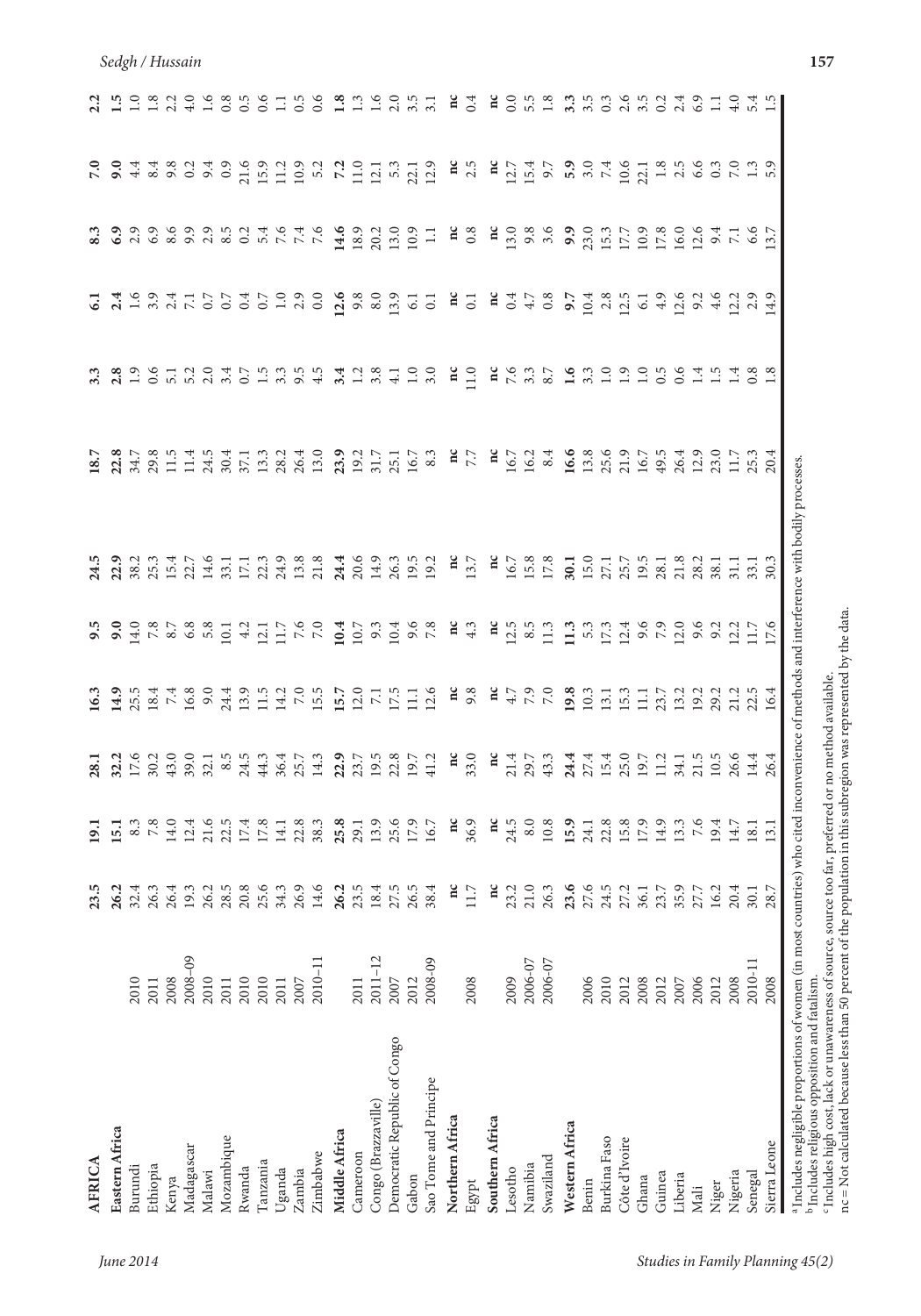| <b>AFRICA</b>                |             | 23.5                                                                                                                                                                                                                                                                                                                                                                                                     | 19.1                                       | 28.1                                                             | 16.3                                                              |                                                        | 24.5                                 | 18.7                                 | 3.3                                 | $\overline{5}$                  | 8.3                                  |                                                           |     |
|------------------------------|-------------|----------------------------------------------------------------------------------------------------------------------------------------------------------------------------------------------------------------------------------------------------------------------------------------------------------------------------------------------------------------------------------------------------------|--------------------------------------------|------------------------------------------------------------------|-------------------------------------------------------------------|--------------------------------------------------------|--------------------------------------|--------------------------------------|-------------------------------------|---------------------------------|--------------------------------------|-----------------------------------------------------------|-----|
| Eastern Africa               |             |                                                                                                                                                                                                                                                                                                                                                                                                          |                                            |                                                                  |                                                                   | 9.5<br>9.0                                             | 22.9                                 | 22.8                                 | 2.8                                 |                                 | 6.9                                  | $\frac{5}{2}$ .0                                          |     |
| Burundi                      | 2010        |                                                                                                                                                                                                                                                                                                                                                                                                          |                                            |                                                                  |                                                                   |                                                        |                                      |                                      |                                     |                                 |                                      | 4.4                                                       |     |
| Ethiopia                     | 2011        |                                                                                                                                                                                                                                                                                                                                                                                                          | $15.3$ $8.3$<br>$7.4$ $9.4$                | $32.2$<br>17.6<br>30.2<br>43.0                                   | $14.5$<br>$15.4$ $15.8$<br>$16.8$<br>$16.8$                       |                                                        | 38.2<br>25.3                         |                                      | $\frac{0.9}{0.6}$                   |                                 | 6.9                                  | $\begin{array}{c} 8.4 \\ 8.8 \end{array}$                 |     |
| Kenya                        | 2008        |                                                                                                                                                                                                                                                                                                                                                                                                          |                                            |                                                                  |                                                                   |                                                        |                                      |                                      | 5.1                                 |                                 | 8.6                                  |                                                           |     |
| Madagascar                   | $2008 - 09$ |                                                                                                                                                                                                                                                                                                                                                                                                          |                                            |                                                                  |                                                                   |                                                        | $15.4$<br>22.7                       |                                      | 5.2                                 |                                 | 9.9                                  | $\overline{0}$                                            |     |
| Malawi                       | 2010        |                                                                                                                                                                                                                                                                                                                                                                                                          |                                            | 39.71 5.5<br>2010 2010 3020 31 4.9<br>2010 31 4.9<br>2010 31 4.9 |                                                                   |                                                        | 14.6                                 |                                      | 2.0                                 | 0.7                             | 2.9                                  | 9.4                                                       |     |
| Mozambique                   | 2011        |                                                                                                                                                                                                                                                                                                                                                                                                          |                                            |                                                                  | 24.4                                                              |                                                        |                                      |                                      | 3.4                                 | 0.7                             | $\frac{6}{3}$                        | $_{0.9}$                                                  |     |
| Rwanda                       | 2010        |                                                                                                                                                                                                                                                                                                                                                                                                          |                                            |                                                                  |                                                                   |                                                        |                                      |                                      | $0.7$<br>1.5                        |                                 | $\frac{2}{3}$                        |                                                           |     |
| Tanzania                     | 2010        |                                                                                                                                                                                                                                                                                                                                                                                                          |                                            |                                                                  | $13.3$<br>$14.2$<br>$5.5$<br>$15.5$                               |                                                        | $33.1$<br>$17.3$<br>$24.9$           |                                      |                                     | 0.7                             | 5.4                                  |                                                           |     |
| Uganda                       | 2011        |                                                                                                                                                                                                                                                                                                                                                                                                          |                                            |                                                                  |                                                                   |                                                        |                                      |                                      |                                     | $\ddot{=}$                      |                                      |                                                           |     |
| Zambia                       | 2007        |                                                                                                                                                                                                                                                                                                                                                                                                          |                                            |                                                                  |                                                                   |                                                        |                                      |                                      | 9.5                                 | 2.9                             | 7.4                                  |                                                           |     |
| Zimbabwe                     | $2010 - 11$ | $\begin{array}{l} \mathbf{A} \; \mathbf{u} \; \mathbf{u} \; \mathbf{u} \; \mathbf{u} \; \mathbf{u} \; \mathbf{u} \; \mathbf{u} \; \mathbf{u} \; \mathbf{u} \; \mathbf{u} \; \mathbf{u} \; \mathbf{u} \; \mathbf{u} \; \mathbf{u} \; \mathbf{u} \; \mathbf{u} \; \mathbf{u} \; \mathbf{u} \; \mathbf{u} \; \mathbf{u} \; \mathbf{u} \; \mathbf{u} \; \mathbf{u} \; \mathbf{u} \; \mathbf{u} \; \mathbf{u$ |                                            |                                                                  |                                                                   |                                                        | $13.8$<br>21.8                       | 13.0                                 | 4.5                                 | 0.0                             |                                      |                                                           |     |
| Middle Africa                |             | $26.3$ $25.4$ $5.3$ $6.4$ $7.5$ $6.5$ $7.5$ $8.4$                                                                                                                                                                                                                                                                                                                                                        | <b>25.3</b><br>29.13.9<br>25.6             |                                                                  |                                                                   |                                                        | 24.4                                 | 23.9                                 | 3.4                                 |                                 | 14.6                                 | $21.3937$<br>$21.295$<br>$21.395$<br>$21.395$<br>$21.395$ |     |
| Cameroon                     | 2011        |                                                                                                                                                                                                                                                                                                                                                                                                          |                                            |                                                                  |                                                                   |                                                        |                                      |                                      |                                     |                                 |                                      |                                                           |     |
| Congo (Brazzaville)          | $2011 - 12$ |                                                                                                                                                                                                                                                                                                                                                                                                          |                                            | $2.37$<br>$2.5$<br>$2.3$<br>$2.3$<br>$2.3$<br>$2.5$              | $\begin{array}{c} 15.7 \\ 2.0 \\ 7.1 \\ 17.5 \\ 11.1 \end{array}$ | $10.7$<br>$10.7$<br>$10.3$<br>$10.4$<br>$0.8$<br>$7.8$ | 20.6<br>14.9                         | 19.7<br>31.7<br>16.7<br>16.3         | $1.\overline{3}$ , $3.\overline{8}$ | $12.8$<br>9.8<br>13.9           | $18.9$<br>$20.2$<br>$13.0$<br>$10.9$ | $12.1$<br>$5.3$<br>$22.1$<br>$12.9$                       |     |
| Democratic Republic of Congo | 2007        |                                                                                                                                                                                                                                                                                                                                                                                                          |                                            |                                                                  |                                                                   |                                                        | 26.3<br>19.5                         |                                      | $\overline{41}$                     |                                 |                                      |                                                           |     |
| Gabon                        | 2012        |                                                                                                                                                                                                                                                                                                                                                                                                          |                                            |                                                                  |                                                                   |                                                        |                                      |                                      | $1.0$<br>3.0                        | $\overline{6}$ . $\overline{1}$ |                                      |                                                           |     |
| Sao Tome and Principe        | 2008-09     |                                                                                                                                                                                                                                                                                                                                                                                                          | 16.7                                       | 41.2                                                             | 12.6                                                              |                                                        | 19.2                                 |                                      |                                     |                                 | $\Xi$                                |                                                           |     |
| Northern Africa              |             | nc                                                                                                                                                                                                                                                                                                                                                                                                       | $n_{\rm c}$                                | n c                                                              | n <sub>c</sub>                                                    |                                                        | ă                                    | $n_{\rm c}$                          | $n$ c                               |                                 | n c                                  |                                                           | ă   |
| Egypt                        | 2008        | 11.7                                                                                                                                                                                                                                                                                                                                                                                                     | 36.9                                       | 33.0                                                             | 9.8                                                               | $\begin{array}{c} \tt nc \\ 4.3 \end{array}$           | 13.7                                 | 7.7                                  | 11.0                                | $\frac{nc}{0.1}$                | 0.8                                  | $rac{nc}{2.5}$                                            |     |
| Southern Africa              |             | $rac{1}{2}$                                                                                                                                                                                                                                                                                                                                                                                              | $n_{\rm c}$                                | n c                                                              | $n_{\rm c}$                                                       | n <sub>c</sub>                                         | $\overline{a}$                       | $\overline{\mathbf{a}}$              |                                     |                                 | $n_{\rm c}$                          | n <sub>c</sub>                                            |     |
| Lesotho                      | 2009        | 23.2<br>21.0<br>26.3                                                                                                                                                                                                                                                                                                                                                                                     | $24.5$<br>$8.0$<br>$10.8$                  | 21.4<br>29.7                                                     | $4.7$                                                             | $12.5$<br>8.5                                          | 16.7                                 | 16.7<br>16.2                         | $\frac{12}{7}$ $\frac{6}{3}$        | $rac{4}{4}$                     | $13.0$<br>9.8                        | $12.7$<br>15.4                                            |     |
| Namibia                      | 2006-07     |                                                                                                                                                                                                                                                                                                                                                                                                          |                                            |                                                                  | 7.9                                                               |                                                        | 15.8                                 |                                      |                                     |                                 |                                      |                                                           |     |
| Swaziland                    | 2006-07     |                                                                                                                                                                                                                                                                                                                                                                                                          |                                            | 43.3                                                             |                                                                   | 11.3                                                   |                                      | 8.4                                  | 8.7                                 | 0.8                             | 3.6                                  | 9.7                                                       |     |
| Western Africa               |             |                                                                                                                                                                                                                                                                                                                                                                                                          | 15.9                                       | $24.449$<br>$25.459$<br>$25.213$<br>$21.5$<br>$21.5$             | 19.8                                                              | $\frac{13}{2}$                                         | 30.1                                 | 16.6                                 | 1.6                                 | 9.7                             | 9.9                                  | $5.9$<br>$3.0$                                            |     |
| Benin                        | 2006        |                                                                                                                                                                                                                                                                                                                                                                                                          | 24.1                                       |                                                                  | 10.3                                                              |                                                        |                                      | 13.8                                 | 3.3                                 | 10.4                            | 23.0                                 |                                                           |     |
| Burkina Faso                 | 2010        |                                                                                                                                                                                                                                                                                                                                                                                                          | $23.8$ $0.9$ $0.9$ $1.3$ $0.7$ $0.7$ $0.7$ |                                                                  | 13.1                                                              | $5.3$<br>$17.3$ 4 9.9                                  | 15.0<br>27.1<br>25.7<br>28.1<br>21.8 | 25.6<br>21.9<br>16.7<br>49.5         | $\overline{1.0}$                    | $2.8$<br>12.5                   |                                      | 7.4                                                       |     |
| Côte d'Ivoire                | 2012        |                                                                                                                                                                                                                                                                                                                                                                                                          |                                            |                                                                  | $15.3$<br>$11.1$<br>$23.7$                                        |                                                        |                                      |                                      | $\ddot{1}$ .9                       |                                 |                                      | $10.6$<br>22.1                                            |     |
| Ghana                        | 2008        |                                                                                                                                                                                                                                                                                                                                                                                                          |                                            |                                                                  |                                                                   |                                                        |                                      |                                      | $1.0$<br>0.5                        | $\overline{61}$                 |                                      |                                                           |     |
| Guinea                       | 2012        |                                                                                                                                                                                                                                                                                                                                                                                                          |                                            |                                                                  |                                                                   |                                                        |                                      |                                      |                                     | 4.9                             |                                      | $\frac{8}{1}$                                             |     |
| Liberia                      | 2007        |                                                                                                                                                                                                                                                                                                                                                                                                          |                                            |                                                                  | 13.2<br>19.2                                                      | 12.0                                                   |                                      | 26.4                                 | 0.6                                 | 12.6                            |                                      | 2.5                                                       |     |
| Mali                         | 2006        |                                                                                                                                                                                                                                                                                                                                                                                                          |                                            |                                                                  |                                                                   | 9.6                                                    | 28.2                                 | 12.9                                 | 1.4                                 | 9.2                             |                                      | 6.6                                                       | 6.9 |
| Niger                        | 2012        |                                                                                                                                                                                                                                                                                                                                                                                                          | $19.4$<br>$14.7$                           | $10.5$<br>26.6                                                   | 29.2                                                              | 9.2                                                    | 38.1                                 | $23.0$<br>$11.7$<br>$25.3$<br>$20.4$ | $\ddot{1}$                          | 4.6                             |                                      |                                                           |     |
| Nigeria                      | 2008        |                                                                                                                                                                                                                                                                                                                                                                                                          |                                            |                                                                  | 21.2                                                              | $12.2$<br>$11.7$                                       |                                      |                                      | 1.4                                 | 12.2                            |                                      |                                                           |     |
| Senegal                      | 2010-11     | 30.1                                                                                                                                                                                                                                                                                                                                                                                                     | 18.1                                       | 14.4                                                             | 22.5                                                              |                                                        | 33.1                                 |                                      | 0.8                                 | 2.9                             |                                      |                                                           |     |
| Sierra Leone                 | 2008        | 28.7                                                                                                                                                                                                                                                                                                                                                                                                     | 13.1                                       | 26.4                                                             | 16.4                                                              | 17.6                                                   | 30.3                                 |                                      |                                     | 14.9                            |                                      |                                                           |     |

*Sedgh / Hussain* **157**

nc = Not calculated because less than 50 percent of the population in this subregion was represented by the data.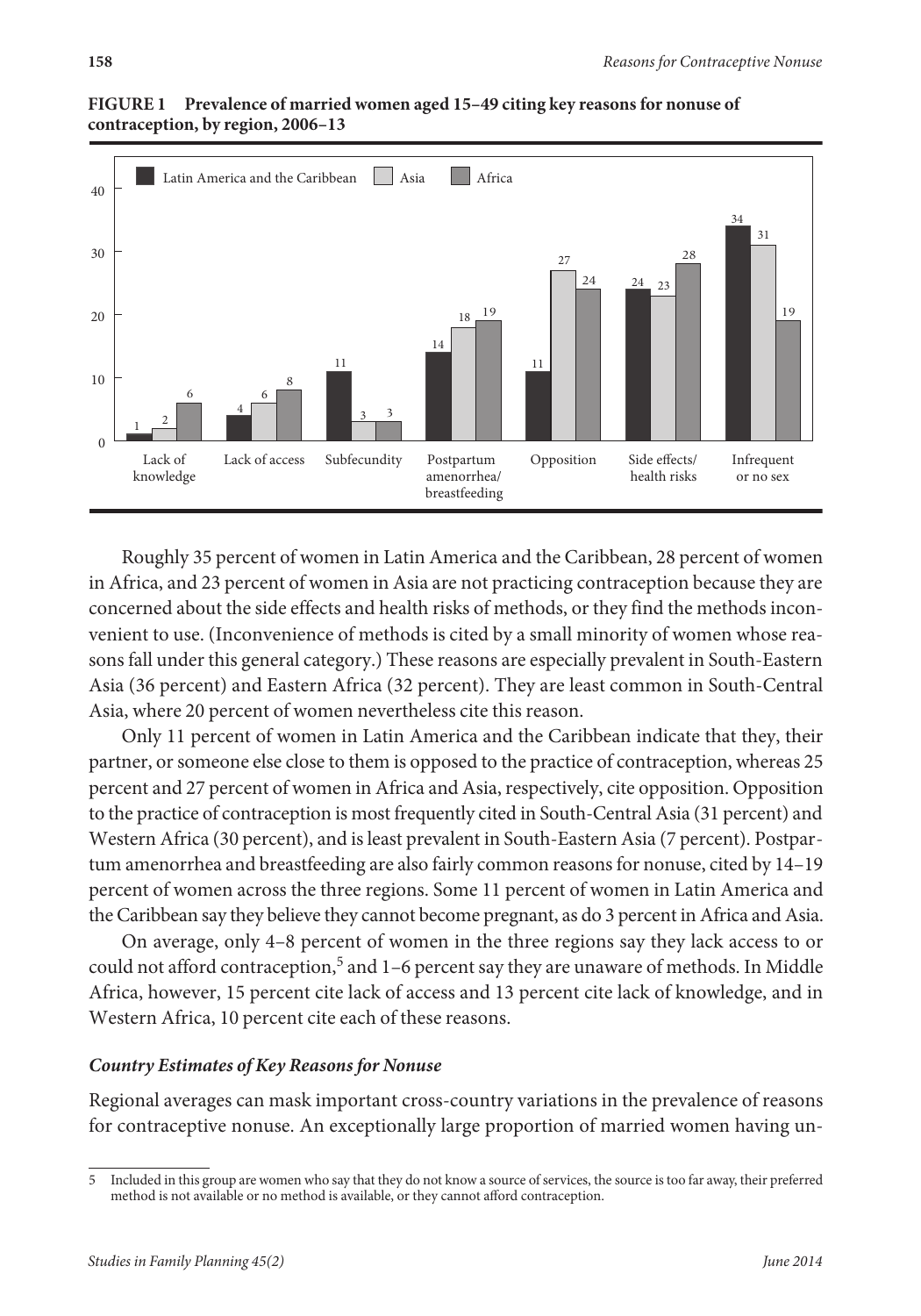

**FIGURE 1 Prevalence of married women aged 15–49 citing key reasons for nonuse of contraception, by region, 2006–13**

Roughly 35 percent of women in Latin America and the Caribbean, 28 percent of women in Africa, and 23 percent of women in Asia are not practicing contraception because they are concerned about the side effects and health risks of methods, or they find the methods inconvenient to use. (Inconvenience of methods is cited by a small minority of women whose reasons fall under this general category.) These reasons are especially prevalent in South-Eastern Asia (36 percent) and Eastern Africa (32 percent). They are least common in South-Central Asia, where 20 percent of women nevertheless cite this reason.

Only 11 percent of women in Latin America and the Caribbean indicate that they, their partner, or someone else close to them is opposed to the practice of contraception, whereas 25 percent and 27 percent of women in Africa and Asia, respectively, cite opposition. Opposition to the practice of contraception is most frequently cited in South-Central Asia (31 percent) and Western Africa (30 percent), and is least prevalent in South-Eastern Asia (7 percent). Postpartum amenorrhea and breastfeeding are also fairly common reasons for nonuse, cited by 14–19 percent of women across the three regions. Some 11 percent of women in Latin America and the Caribbean say they believe they cannot become pregnant, as do 3 percent in Africa and Asia.

On average, only 4–8 percent of women in the three regions say they lack access to or could not afford contraception,<sup>5</sup> and  $1-6$  percent say they are unaware of methods. In Middle Africa, however, 15 percent cite lack of access and 13 percent cite lack of knowledge, and in Western Africa, 10 percent cite each of these reasons.

#### *Country Estimates of Key Reasons for Nonuse*

Regional averages can mask important cross-country variations in the prevalence of reasons for contraceptive nonuse. An exceptionally large proportion of married women having un-

<sup>5</sup> Included in this group are women who say that they do not know a source of services, the source is too far away, their preferred method is not available or no method is available, or they cannot afford contraception.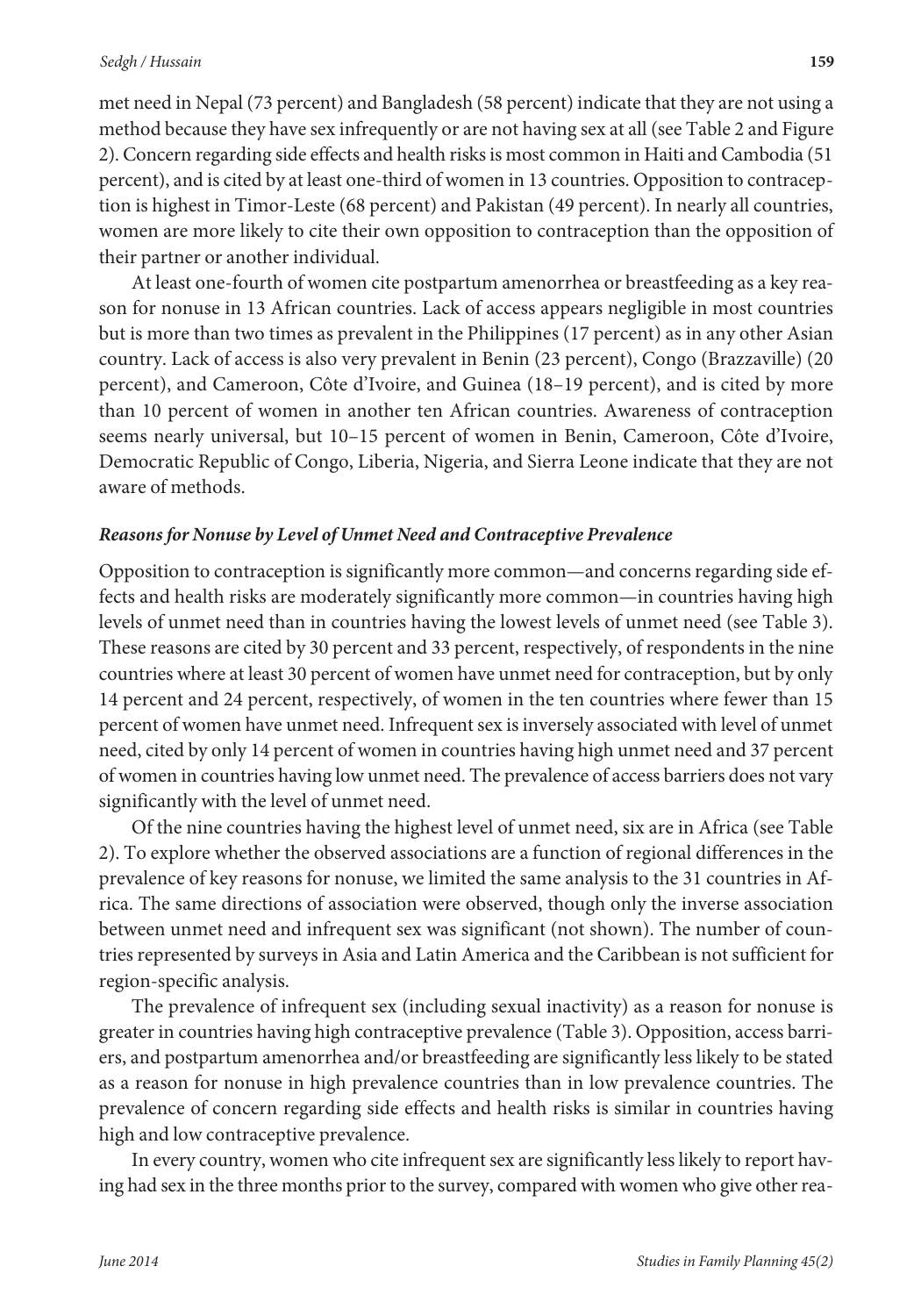#### *Sedgh / Hussain* **159**

met need in Nepal (73 percent) and Bangladesh (58 percent) indicate that they are not using a method because they have sex infrequently or are not having sex at all (see Table 2 and Figure 2). Concern regarding side effects and health risks is most common in Haiti and Cambodia (51 percent), and is cited by at least one-third of women in 13 countries. Opposition to contraception is highest in Timor-Leste (68 percent) and Pakistan (49 percent). In nearly all countries, women are more likely to cite their own opposition to contraception than the opposition of their partner or another individual.

At least one-fourth of women cite postpartum amenorrhea or breastfeeding as a key reason for nonuse in 13 African countries. Lack of access appears negligible in most countries but is more than two times as prevalent in the Philippines (17 percent) as in any other Asian country. Lack of access is also very prevalent in Benin (23 percent), Congo (Brazzaville) (20 percent), and Cameroon, Côte d'Ivoire, and Guinea (18–19 percent), and is cited by more than 10 percent of women in another ten African countries. Awareness of contraception seems nearly universal, but 10–15 percent of women in Benin, Cameroon, Côte d'Ivoire, Democratic Republic of Congo, Liberia, Nigeria, and Sierra Leone indicate that they are not aware of methods.

### *Reasons for Nonuse by Level of Unmet Need and Contraceptive Prevalence*

Opposition to contraception is significantly more common—and concerns regarding side effects and health risks are moderately significantly more common—in countries having high levels of unmet need than in countries having the lowest levels of unmet need (see Table 3). These reasons are cited by 30 percent and 33 percent, respectively, of respondents in the nine countries where at least 30 percent of women have unmet need for contraception, but by only 14 percent and 24 percent, respectively, of women in the ten countries where fewer than 15 percent of women have unmet need. Infrequent sex is inversely associated with level of unmet need, cited by only 14 percent of women in countries having high unmet need and 37 percent of women in countries having low unmet need. The prevalence of access barriers does not vary significantly with the level of unmet need.

Of the nine countries having the highest level of unmet need, six are in Africa (see Table 2). To explore whether the observed associations are a function of regional differences in the prevalence of key reasons for nonuse, we limited the same analysis to the 31 countries in Africa. The same directions of association were observed, though only the inverse association between unmet need and infrequent sex was significant (not shown). The number of countries represented by surveys in Asia and Latin America and the Caribbean is not sufficient for region-specific analysis.

The prevalence of infrequent sex (including sexual inactivity) as a reason for nonuse is greater in countries having high contraceptive prevalence (Table 3). Opposition, access barriers, and postpartum amenorrhea and/or breastfeeding are significantly less likely to be stated as a reason for nonuse in high prevalence countries than in low prevalence countries. The prevalence of concern regarding side effects and health risks is similar in countries having high and low contraceptive prevalence.

In every country, women who cite infrequent sex are significantly less likely to report having had sex in the three months prior to the survey, compared with women who give other rea-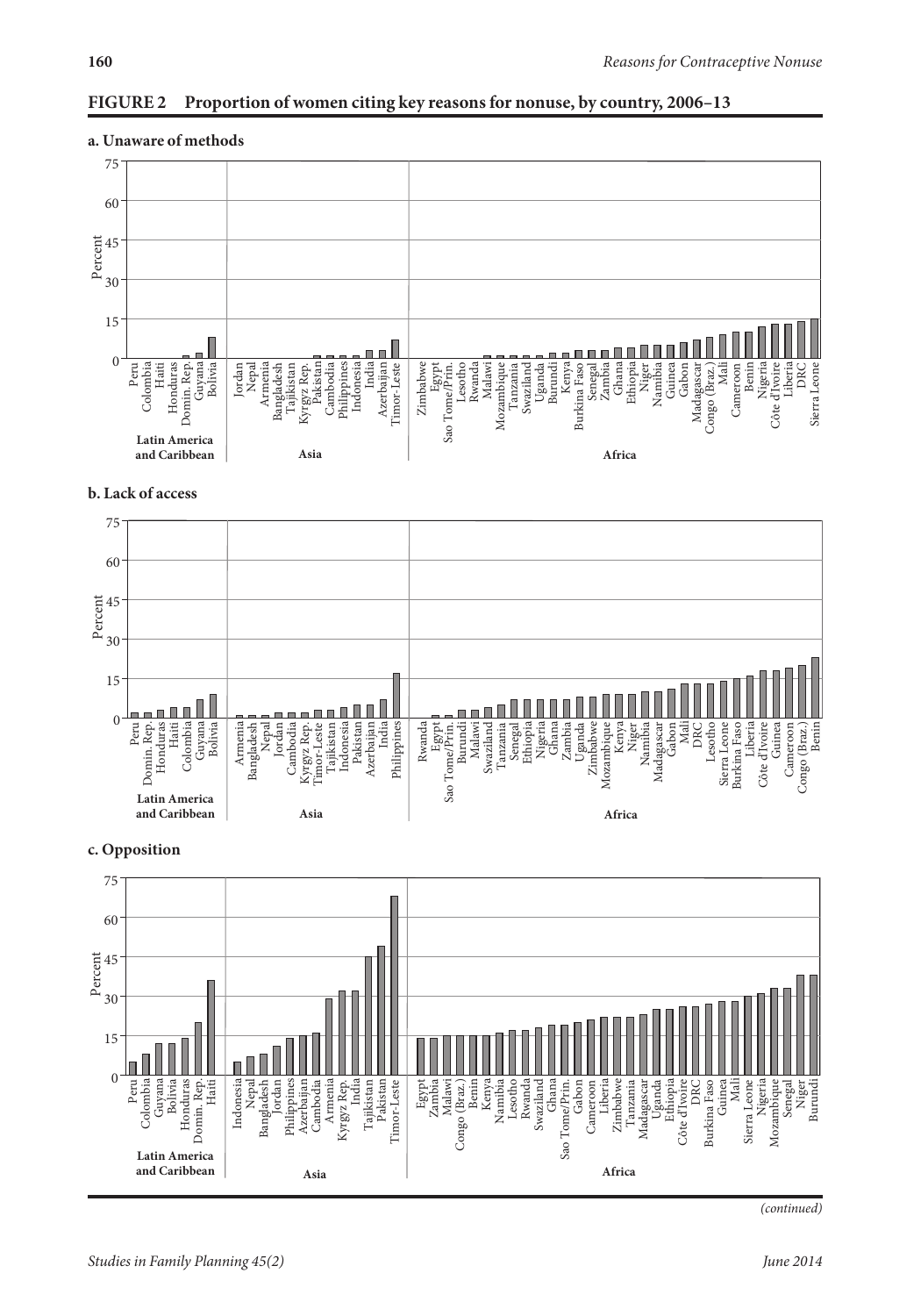#### **FIGURE 2 Proportion of women citing key reasons for nonuse, by country, 2006–13**



#### **a. Unaware of methods**

#### **b. Lack of access**



#### **c. Opposition**



*(continued)*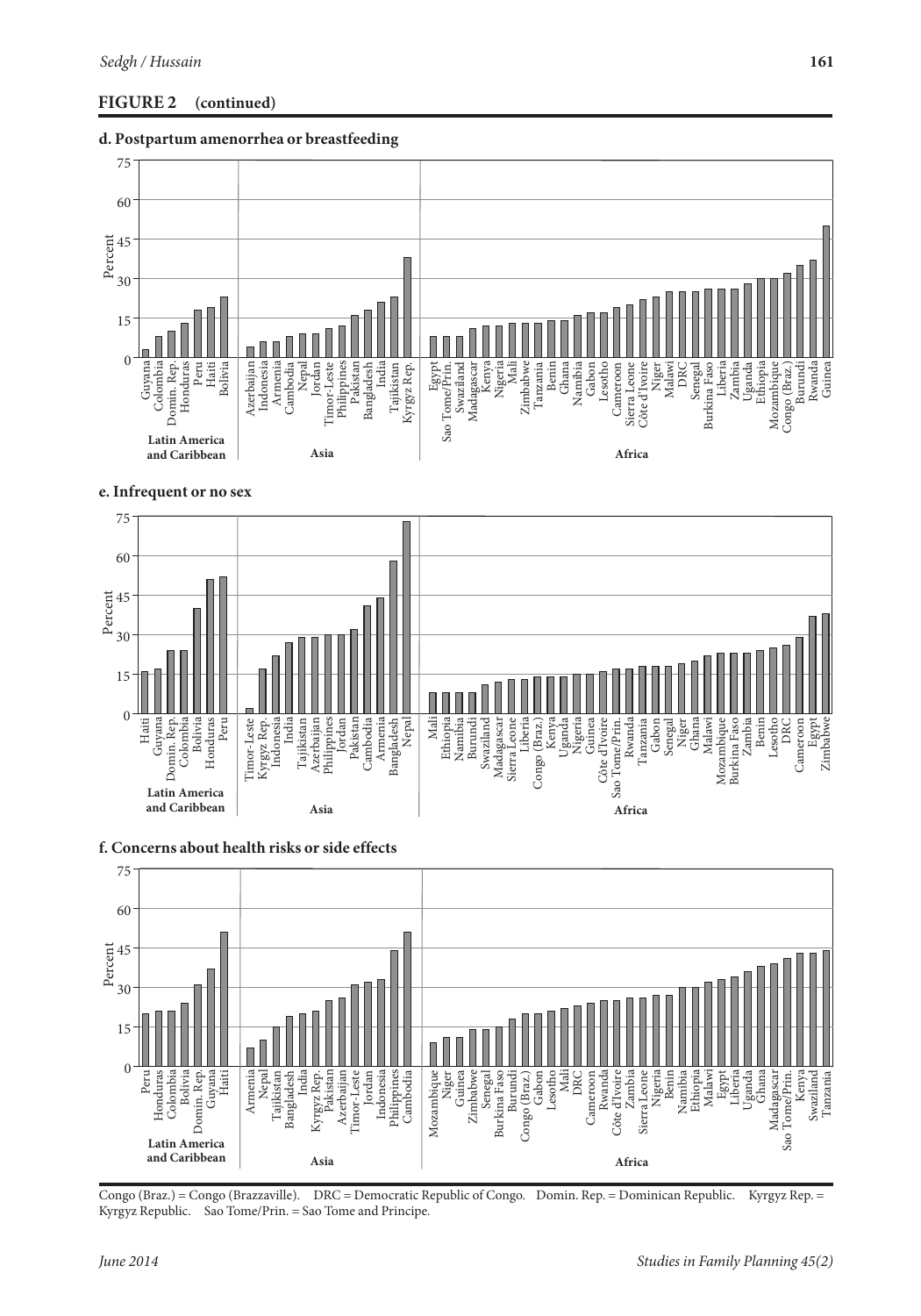#### **FIGURE 2 (continued)**

#### **d. Postpartum amenorrhea or breastfeeding**



#### **e. Infrequent or no sex**





Congo (Braz.) = Congo (Brazzaville). DRC = Democratic Republic of Congo. Domin. Rep. = Dominican Republic. Kyrgyz Rep. = Kyrgyz Republic. Sao Tome/Prin. = Sao Tome and Principe*.*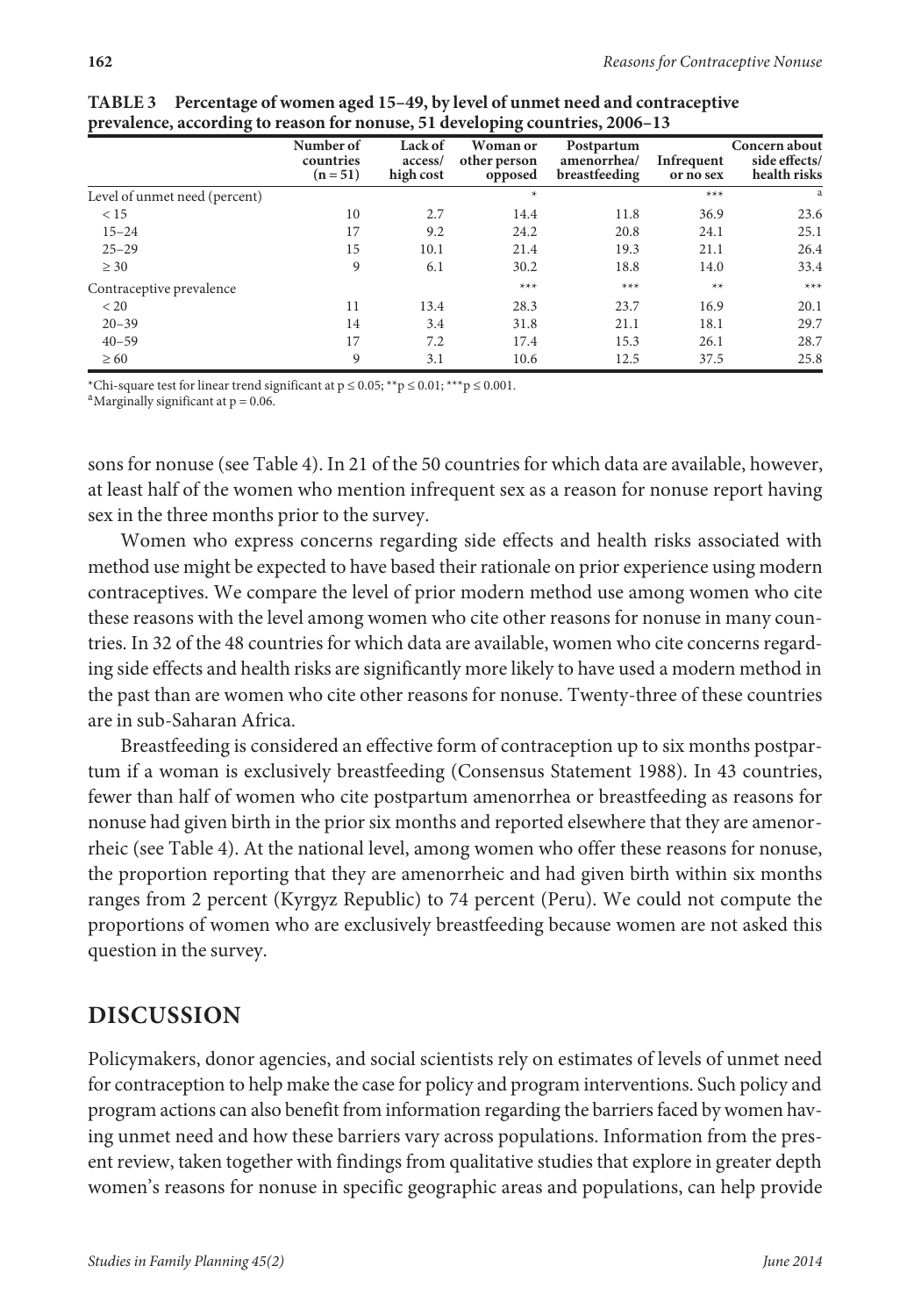|                               | Number of<br>countries<br>$(n = 51)$ | Lack of<br>access/<br>high cost | Woman or<br>other person<br>opposed | Postpartum<br>amenorrhea/<br>breastfeeding | Infrequent<br>or no sex | Concern about<br>side effects/<br>health risks |
|-------------------------------|--------------------------------------|---------------------------------|-------------------------------------|--------------------------------------------|-------------------------|------------------------------------------------|
| Level of unmet need (percent) |                                      |                                 | $\ast$                              |                                            | $***$                   | a                                              |
| < 15                          | 10                                   | 2.7                             | 14.4                                | 11.8                                       | 36.9                    | 23.6                                           |
| $15 - 24$                     | 17                                   | 9.2                             | 24.2                                | 20.8                                       | 24.1                    | 25.1                                           |
| $25 - 29$                     | 15                                   | 10.1                            | 21.4                                | 19.3                                       | 21.1                    | 26.4                                           |
| $\geq 30$                     | 9                                    | 6.1                             | 30.2                                | 18.8                                       | 14.0                    | 33.4                                           |
| Contraceptive prevalence      |                                      |                                 | $***$                               | $***$                                      | $**$                    | $***$                                          |
| < 20                          | 11                                   | 13.4                            | 28.3                                | 23.7                                       | 16.9                    | 20.1                                           |
| $20 - 39$                     | 14                                   | 3.4                             | 31.8                                | 21.1                                       | 18.1                    | 29.7                                           |
| $40 - 59$                     | 17                                   | 7.2                             | 17.4                                | 15.3                                       | 26.1                    | 28.7                                           |
| $\geq 60$                     | 9                                    | 3.1                             | 10.6                                | 12.5                                       | 37.5                    | 25.8                                           |

**TABLE 3 Percentage of women aged 15–49, by level of unmet need and contraceptive prevalence, according to reason for nonuse, 51 developing countries, 2006–13**

\*Chi-square test for linear trend significant at  $p \le 0.05$ ; \*\* $p \le 0.01$ ; \*\*\* $p \le 0.001$ . <sup>a</sup>Marginally significant at  $p = 0.06$ .

sons for nonuse (see Table 4). In 21 of the 50 countries for which data are available, however, at least half of the women who mention infrequent sex as a reason for nonuse report having sex in the three months prior to the survey.

Women who express concerns regarding side effects and health risks associated with method use might be expected to have based their rationale on prior experience using modern contraceptives. We compare the level of prior modern method use among women who cite these reasons with the level among women who cite other reasons for nonuse in many countries. In 32 of the 48 countries for which data are available, women who cite concerns regarding side effects and health risks are significantly more likely to have used a modern method in the past than are women who cite other reasons for nonuse. Twenty-three of these countries are in sub-Saharan Africa.

Breastfeeding is considered an effective form of contraception up to six months postpartum if a woman is exclusively breastfeeding (Consensus Statement 1988). In 43 countries, fewer than half of women who cite postpartum amenorrhea or breastfeeding as reasons for nonuse had given birth in the prior six months and reported elsewhere that they are amenorrheic (see Table 4). At the national level, among women who offer these reasons for nonuse, the proportion reporting that they are amenorrheic and had given birth within six months ranges from 2 percent (Kyrgyz Republic) to 74 percent (Peru). We could not compute the proportions of women who are exclusively breastfeeding because women are not asked this question in the survey.

## **DISCUSSION**

Policymakers, donor agencies, and social scientists rely on estimates of levels of unmet need for contraception to help make the case for policy and program interventions. Such policy and program actions can also benefit from information regarding the barriers faced by women having unmet need and how these barriers vary across populations. Information from the present review, taken together with findings from qualitative studies that explore in greater depth women's reasons for nonuse in specific geographic areas and populations, can help provide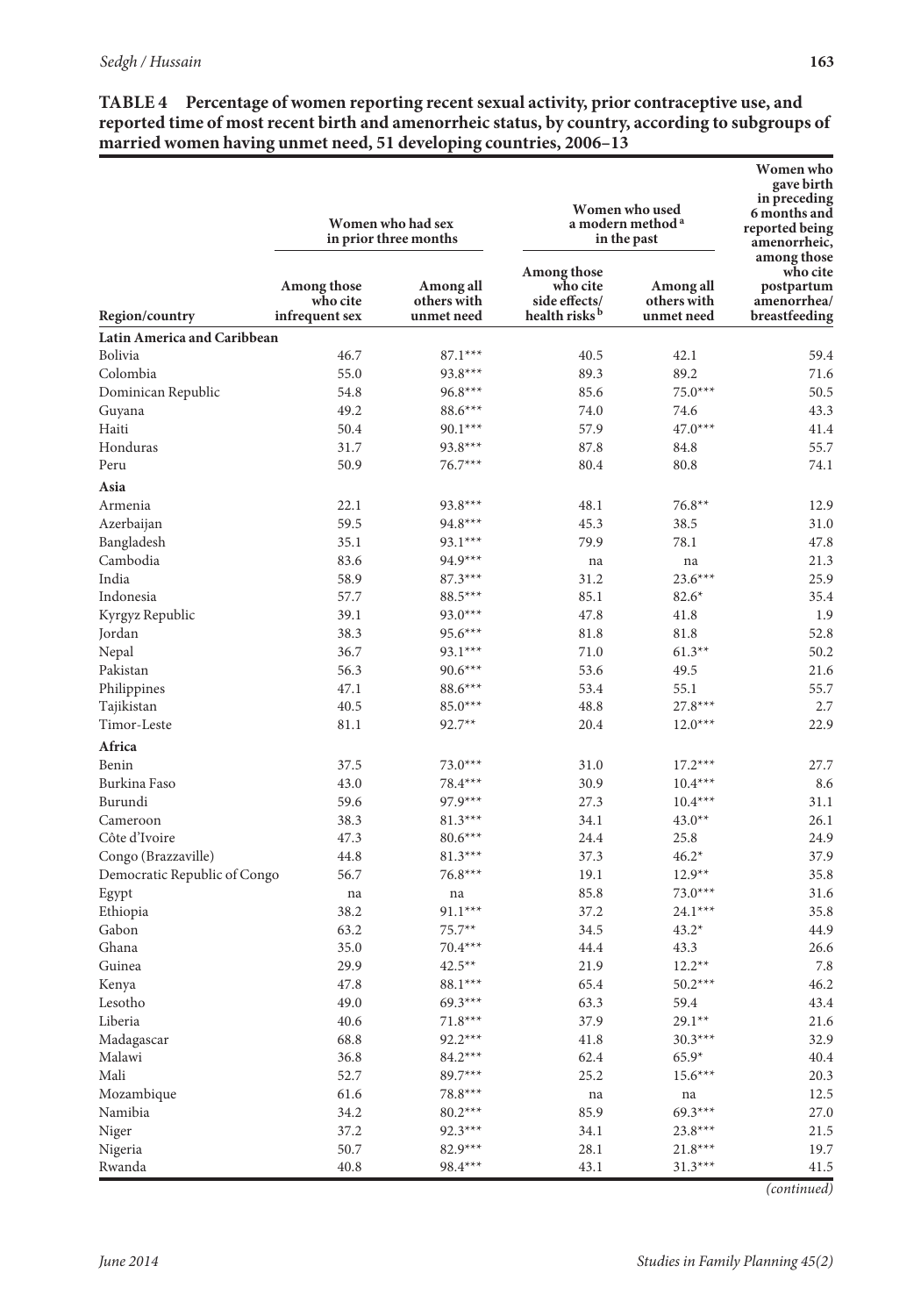|                              | Women who had sex<br>in prior three months |                                        |                                                                       | Women who used<br>a modern method <sup>a</sup><br>in the past | Women who<br>gave birth<br>in preceding<br>6 months and<br>reported being<br>amenorrheic, |
|------------------------------|--------------------------------------------|----------------------------------------|-----------------------------------------------------------------------|---------------------------------------------------------------|-------------------------------------------------------------------------------------------|
| Region/country               | Among those<br>who cite<br>infrequent sex  | Among all<br>others with<br>unmet need | Among those<br>who cite<br>side effects/<br>health risks <sup>b</sup> | Among all<br>others with<br>unmet need                        | among those<br>who cite<br>postpartum<br>amenorrhea/<br>breastfeeding                     |
| Latin America and Caribbean  |                                            |                                        |                                                                       |                                                               |                                                                                           |
| Bolivia                      | 46.7                                       | $87.1***$                              | 40.5                                                                  | 42.1                                                          | 59.4                                                                                      |
| Colombia                     | 55.0                                       | $93.8***$                              | 89.3                                                                  | 89.2                                                          | 71.6                                                                                      |
| Dominican Republic           | 54.8                                       | $96.8***$                              | 85.6                                                                  | $75.0***$                                                     | 50.5                                                                                      |
| Guyana                       | 49.2                                       | 88.6***                                | 74.0                                                                  | 74.6                                                          | 43.3                                                                                      |
| Haiti                        | 50.4                                       | $90.1***$                              | 57.9                                                                  | $47.0***$                                                     | 41.4                                                                                      |
| Honduras                     | 31.7                                       | $93.8***$                              | 87.8                                                                  | 84.8                                                          | 55.7                                                                                      |
| Peru                         | 50.9                                       | $76.7***$                              | 80.4                                                                  | 80.8                                                          | 74.1                                                                                      |
| Asia                         |                                            |                                        |                                                                       |                                                               |                                                                                           |
| Armenia                      | 22.1                                       | $93.8***$                              | 48.1                                                                  | $76.8**$                                                      | 12.9                                                                                      |
| Azerbaijan                   | 59.5                                       | 94.8***                                | 45.3                                                                  | 38.5                                                          | 31.0                                                                                      |
| Bangladesh                   | 35.1                                       | $93.1***$                              | 79.9                                                                  | 78.1                                                          | 47.8                                                                                      |
| Cambodia                     | 83.6                                       | 94.9***                                | na                                                                    | na                                                            | 21.3                                                                                      |
| India                        | 58.9                                       | $87.3***$                              | 31.2                                                                  | $23.6***$                                                     | 25.9                                                                                      |
| Indonesia                    | 57.7                                       | 88.5***                                | 85.1                                                                  | $82.6*$                                                       | 35.4                                                                                      |
| Kyrgyz Republic              | 39.1                                       | $93.0***$                              | 47.8                                                                  | 41.8                                                          | 1.9                                                                                       |
| Jordan                       | 38.3                                       | $95.6***$                              | 81.8                                                                  | 81.8                                                          | 52.8                                                                                      |
| Nepal                        | 36.7                                       | $93.1***$                              | 71.0                                                                  | $61.3**$                                                      | 50.2                                                                                      |
| Pakistan                     | 56.3                                       | $90.6***$                              | 53.6                                                                  | 49.5                                                          | 21.6                                                                                      |
| Philippines                  | 47.1                                       | $88.6***$                              | 53.4                                                                  | 55.1                                                          | 55.7                                                                                      |
| Tajikistan                   | 40.5                                       | $85.0***$                              | 48.8                                                                  | $27.8***$                                                     | 2.7                                                                                       |
| Timor-Leste                  | 81.1                                       | $92.7**$                               | 20.4                                                                  | $12.0***$                                                     | 22.9                                                                                      |
| Africa                       |                                            |                                        |                                                                       |                                                               |                                                                                           |
| Benin                        | 37.5                                       | $73.0***$                              | 31.0                                                                  | $17.2***$                                                     | 27.7                                                                                      |
| Burkina Faso                 | 43.0                                       | $78.4***$                              | 30.9                                                                  | $10.4***$                                                     | 8.6                                                                                       |
| Burundi                      | 59.6                                       | $97.9***$                              | 27.3                                                                  | $10.4***$                                                     | 31.1                                                                                      |
| Cameroon                     | 38.3                                       | $81.3***$                              | 34.1                                                                  | $43.0**$                                                      | 26.1                                                                                      |
| Côte d'Ivoire                | 47.3                                       | $80.6***$                              | 24.4                                                                  | 25.8                                                          | 24.9                                                                                      |
| Congo (Brazzaville)          | 44.8                                       | $81.3***$                              | 37.3                                                                  | $46.2*$                                                       | 37.9                                                                                      |
| Democratic Republic of Congo | 56.7                                       | $76.8***$                              | 19.1                                                                  | $12.9**$                                                      | 35.8                                                                                      |
| Egypt                        | na                                         | na                                     | 85.8                                                                  | $73.0***$                                                     | 31.6                                                                                      |
| Ethiopia                     | 38.2                                       | $91.1***$                              | 37.2                                                                  | $24.1***$                                                     | 35.8                                                                                      |
| Gabon                        | 63.2                                       | $75.7**$                               | 34.5                                                                  | $43.2*$                                                       | 44.9                                                                                      |

Ghana 35.0 70.4\*\*\* 44.4 43.3 26.6 Guinea 29.9 42.5<sup>\*\*</sup> 21.9 12.2<sup>\*\*</sup> 7.8 Kenya 65.4 50.2\*\*\* 65.4 50.2\*\*\* 46.2 Lesotho  $49.0$   $69.3***$   $63.3$   $59.4$   $43.4$ Liberia 1988 10.6 11.8\*\*\* 37.9 29.1\*\* 21.6 Madagascar 68.8 92.2\*\*\* 41.8 30.3\*\*\* 32.9 Malawi 36.8  $36.8$   $84.2***$   $62.4$   $65.9*$   $40.4$ Mali 52.7 89.7\*\*\* 25.2 15.6\*\*\* 20.3 Mozambique 61.6 78.8\*\*\* na na na 12.5 Mamibia 12.5 Mamibia 27.0 Namibia 34.2 80.2\*\*\* 85.9 69.3\*\*\* 27.0 Niger 37.2 92.3\*\*\* 34.1 23.8\*\*\* 21.5 Nigeria 19.7 50.7 82.9\*\*\* 28.1 21.8\*\*\* 19.7 Rwanda 40.8 98.4\*\*\* 43.1 31.3\*\*\* 41.5

**TABLE 4 Percentage of women reporting recent sexual activity, prior contraceptive use, and reported time of most recent birth and amenorrheic status, by country, according to subgroups of**  married wom

*(continued)*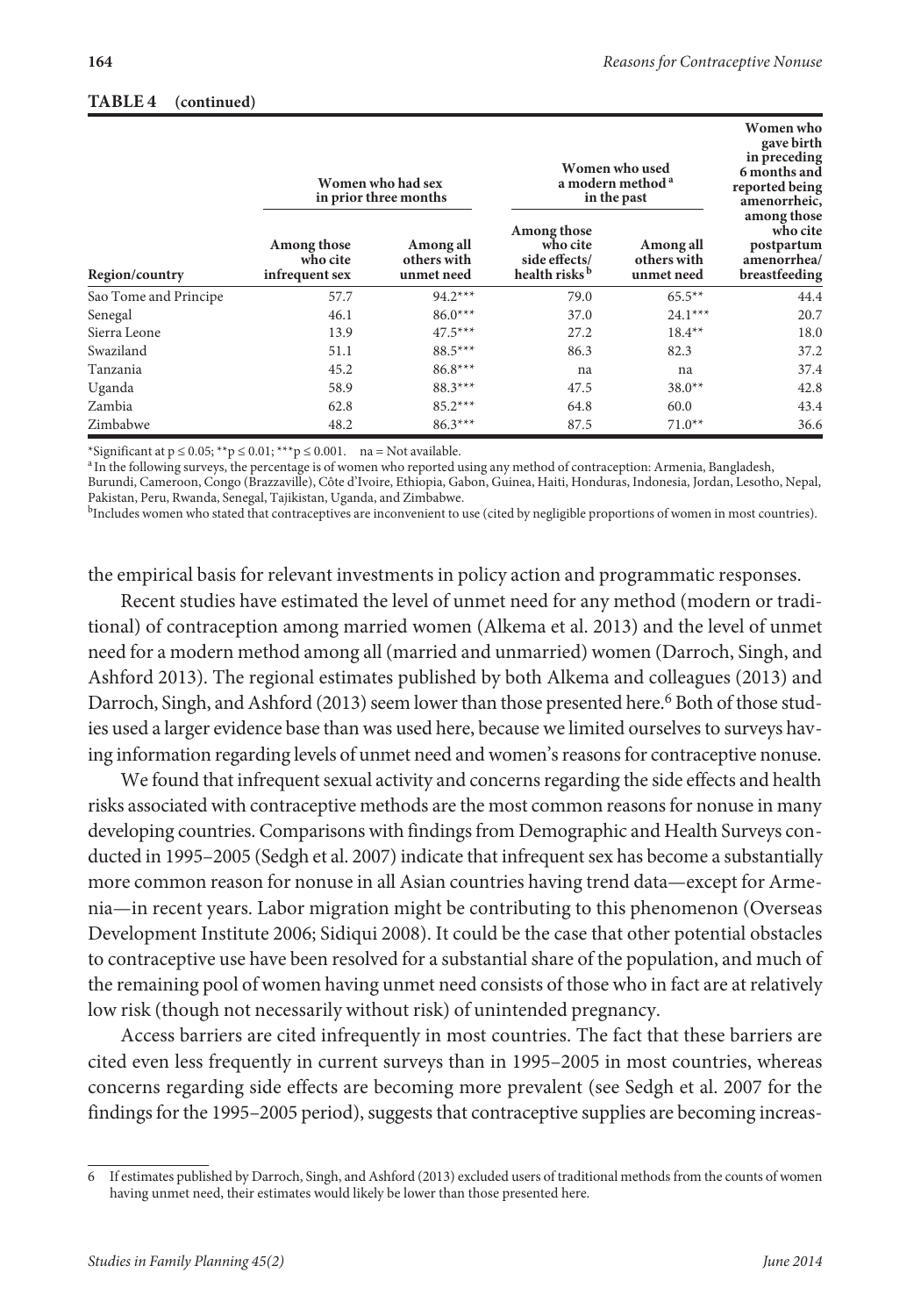|                       |                                           | Women who had sex<br>in prior three months |                                                                       | Women who used<br>a modern method <sup>a</sup><br>in the past | Women who<br>gave birth<br>in preceding<br>6 months and<br>reported being<br>amenorrheic, |
|-----------------------|-------------------------------------------|--------------------------------------------|-----------------------------------------------------------------------|---------------------------------------------------------------|-------------------------------------------------------------------------------------------|
| Region/country        | Among those<br>who cite<br>infrequent sex | Among all<br>others with<br>unmet need     | Among those<br>who cite<br>side effects/<br>health risks <sup>b</sup> | Among all<br>others with<br>unmet need                        | among those<br>who cite<br>postpartum<br>amenorrhea/<br>breastfeeding                     |
| Sao Tome and Principe | 57.7                                      | $94.2***$                                  | 79.0                                                                  | $65.5***$                                                     | 44.4                                                                                      |
| Senegal               | 46.1                                      | $86.0***$                                  | 37.0                                                                  | $24.1***$                                                     | 20.7                                                                                      |
| Sierra Leone          | 13.9                                      | $47.5***$                                  | 27.2                                                                  | $18.4**$                                                      | 18.0                                                                                      |
| Swaziland             | 51.1                                      | $88.5***$                                  | 86.3                                                                  | 82.3                                                          | 37.2                                                                                      |
| Tanzania              | 45.2                                      | $86.8***$                                  | na                                                                    | na                                                            | 37.4                                                                                      |
| Uganda                | 58.9                                      | $88.3***$                                  | 47.5                                                                  | $38.0**$                                                      | 42.8                                                                                      |
| Zambia                | 62.8                                      | $85.2***$                                  | 64.8                                                                  | 60.0                                                          | 43.4                                                                                      |
| Zimbabwe              | 48.2                                      | $86.3***$                                  | 87.5                                                                  | $71.0**$                                                      | 36.6                                                                                      |

#### **TABLE 4 (continued)**

\*Significant at  $p \le 0.05$ ; \*\* $p \le 0.01$ ; \*\*\* $p \le 0.001$ . na = Not available.

a In the following surveys, the percentage is of women who reported using any method of contraception: Armenia, Bangladesh,

Burundi, Cameroon, Congo (Brazzaville), Côte d'Ivoire, Ethiopia, Gabon, Guinea, Haiti, Honduras, Indonesia, Jordan, Lesotho, Nepal, Pakistan, Peru, Rwanda, Senegal, Tajikistan, Uganda, and Zimbabwe.

bIncludes women who stated that contraceptives are inconvenient to use (cited by negligible proportions of women in most countries).

the empirical basis for relevant investments in policy action and programmatic responses.

Recent studies have estimated the level of unmet need for any method (modern or traditional) of contraception among married women (Alkema et al. 2013) and the level of unmet need for a modern method among all (married and unmarried) women (Darroch, Singh, and Ashford 2013). The regional estimates published by both Alkema and colleagues (2013) and Darroch, Singh, and Ashford (2013) seem lower than those presented here.<sup>6</sup> Both of those studies used a larger evidence base than was used here, because we limited ourselves to surveys having information regarding levels of unmet need and women's reasons for contraceptive nonuse.

We found that infrequent sexual activity and concerns regarding the side effects and health risks associated with contraceptive methods are the most common reasons for nonuse in many developing countries. Comparisons with findings from Demographic and Health Surveys conducted in 1995–2005 (Sedgh et al. 2007) indicate that infrequent sex has become a substantially more common reason for nonuse in all Asian countries having trend data—except for Armenia—in recent years. Labor migration might be contributing to this phenomenon (Overseas Development Institute 2006; Sidiqui 2008). It could be the case that other potential obstacles to contraceptive use have been resolved for a substantial share of the population, and much of the remaining pool of women having unmet need consists of those who in fact are at relatively low risk (though not necessarily without risk) of unintended pregnancy.

Access barriers are cited infrequently in most countries. The fact that these barriers are cited even less frequently in current surveys than in 1995–2005 in most countries, whereas concerns regarding side effects are becoming more prevalent (see Sedgh et al. 2007 for the findings for the 1995–2005 period), suggests that contraceptive supplies are becoming increas-

<sup>6</sup> If estimates published by Darroch, Singh, and Ashford (2013) excluded users of traditional methods from the counts of women having unmet need, their estimates would likely be lower than those presented here.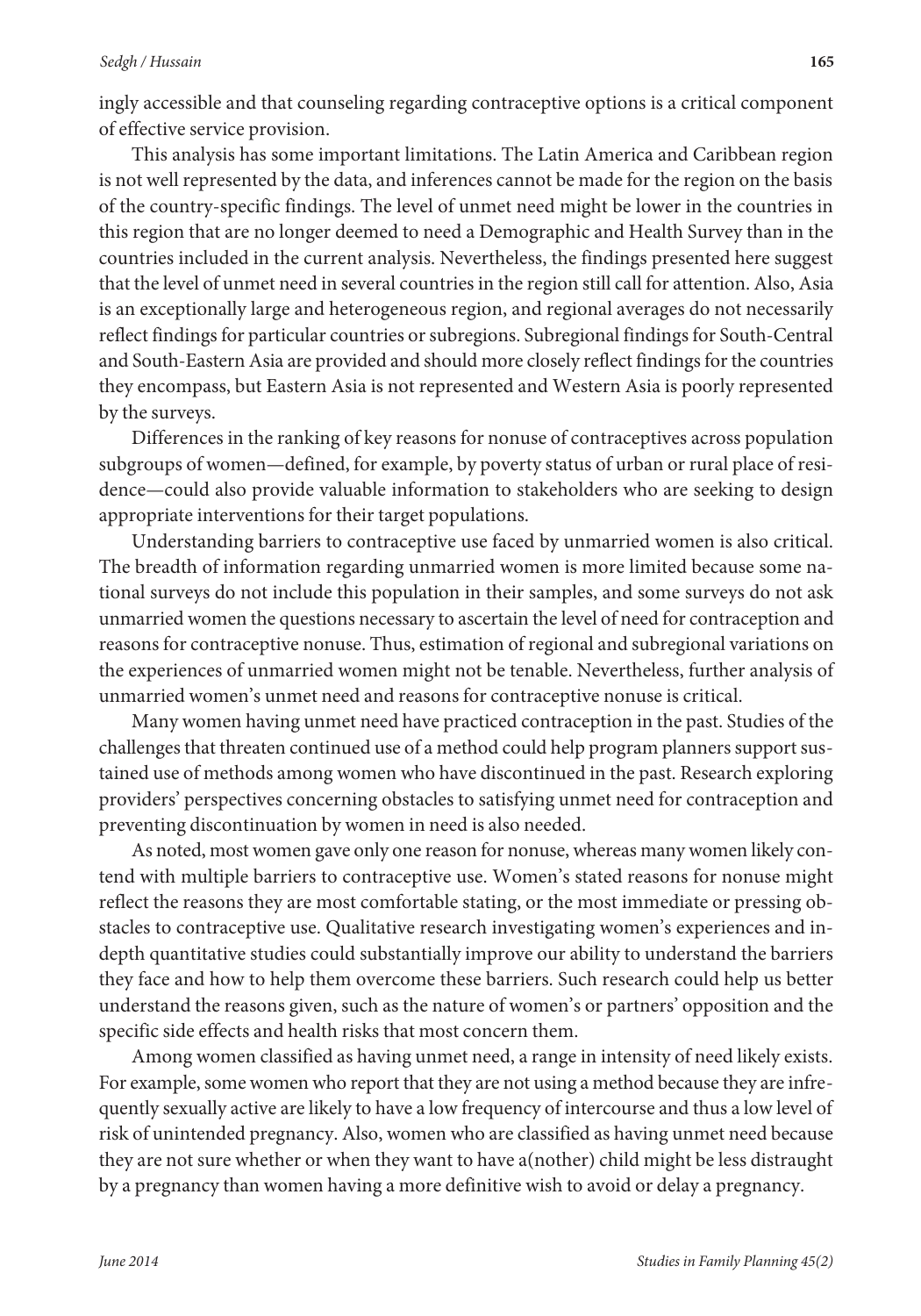ingly accessible and that counseling regarding contraceptive options is a critical component of effective service provision.

This analysis has some important limitations. The Latin America and Caribbean region is not well represented by the data, and inferences cannot be made for the region on the basis of the country-specific findings. The level of unmet need might be lower in the countries in this region that are no longer deemed to need a Demographic and Health Survey than in the countries included in the current analysis. Nevertheless, the findings presented here suggest that the level of unmet need in several countries in the region still call for attention. Also, Asia is an exceptionally large and heterogeneous region, and regional averages do not necessarily reflect findings for particular countries or subregions. Subregional findings for South-Central and South-Eastern Asia are provided and should more closely reflect findings for the countries they encompass, but Eastern Asia is not represented and Western Asia is poorly represented by the surveys.

Differences in the ranking of key reasons for nonuse of contraceptives across population subgroups of women—defined, for example, by poverty status of urban or rural place of residence—could also provide valuable information to stakeholders who are seeking to design appropriate interventions for their target populations.

Understanding barriers to contraceptive use faced by unmarried women is also critical. The breadth of information regarding unmarried women is more limited because some national surveys do not include this population in their samples, and some surveys do not ask unmarried women the questions necessary to ascertain the level of need for contraception and reasons for contraceptive nonuse. Thus, estimation of regional and subregional variations on the experiences of unmarried women might not be tenable. Nevertheless, further analysis of unmarried women's unmet need and reasons for contraceptive nonuse is critical.

Many women having unmet need have practiced contraception in the past. Studies of the challenges that threaten continued use of a method could help program planners support sustained use of methods among women who have discontinued in the past. Research exploring providers' perspectives concerning obstacles to satisfying unmet need for contraception and preventing discontinuation by women in need is also needed.

As noted, most women gave only one reason for nonuse, whereas many women likely contend with multiple barriers to contraceptive use. Women's stated reasons for nonuse might reflect the reasons they are most comfortable stating, or the most immediate or pressing obstacles to contraceptive use. Qualitative research investigating women's experiences and indepth quantitative studies could substantially improve our ability to understand the barriers they face and how to help them overcome these barriers. Such research could help us better understand the reasons given, such as the nature of women's or partners' opposition and the specific side effects and health risks that most concern them.

Among women classified as having unmet need, a range in intensity of need likely exists. For example, some women who report that they are not using a method because they are infrequently sexually active are likely to have a low frequency of intercourse and thus a low level of risk of unintended pregnancy. Also, women who are classified as having unmet need because they are not sure whether or when they want to have a(nother) child might be less distraught by a pregnancy than women having a more definitive wish to avoid or delay a pregnancy.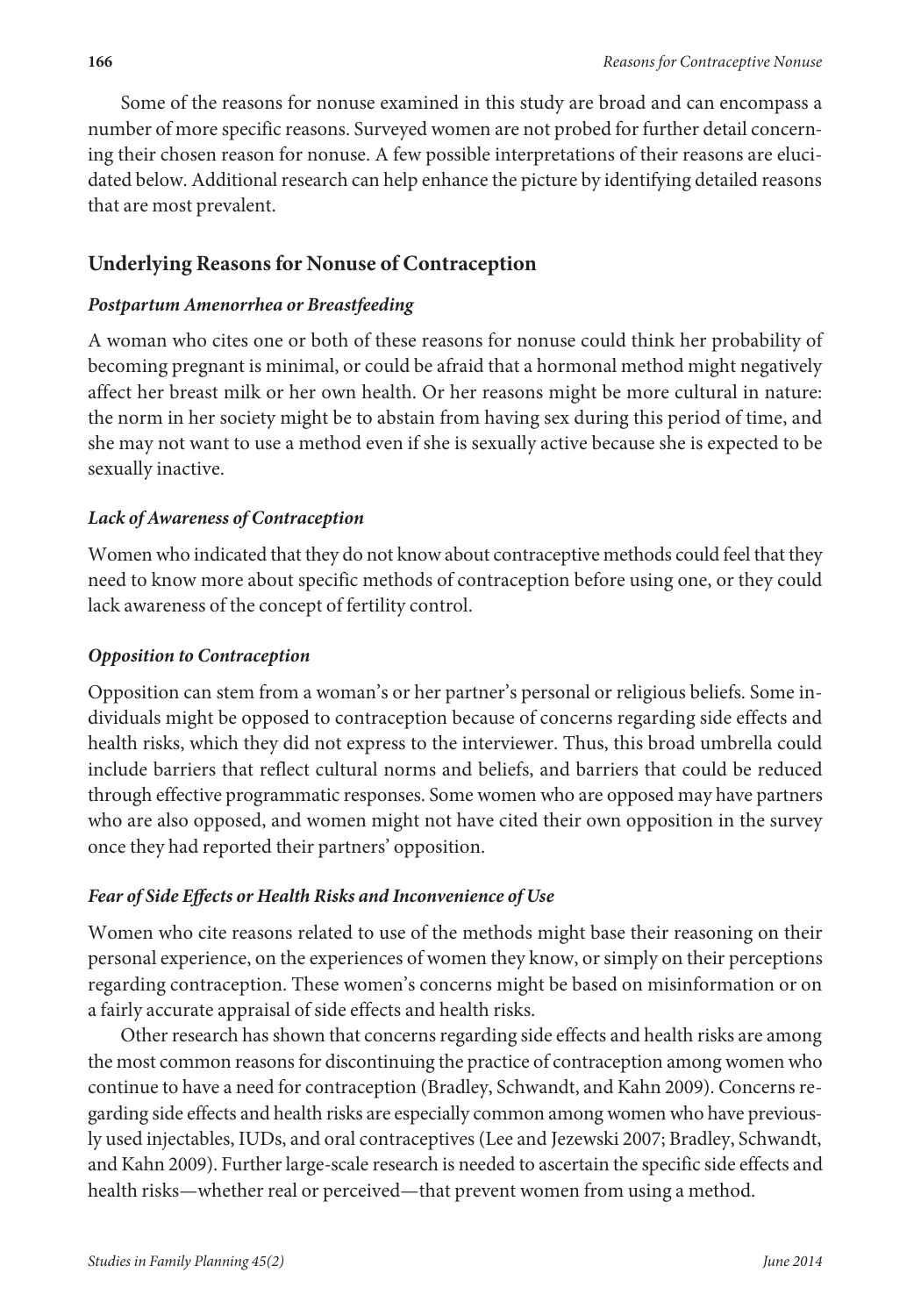Some of the reasons for nonuse examined in this study are broad and can encompass a number of more specific reasons. Surveyed women are not probed for further detail concerning their chosen reason for nonuse. A few possible interpretations of their reasons are elucidated below. Additional research can help enhance the picture by identifying detailed reasons that are most prevalent.

## **Underlying Reasons for Nonuse of Contraception**

#### *Postpartum Amenorrhea or Breastfeeding*

A woman who cites one or both of these reasons for nonuse could think her probability of becoming pregnant is minimal, or could be afraid that a hormonal method might negatively affect her breast milk or her own health. Or her reasons might be more cultural in nature: the norm in her society might be to abstain from having sex during this period of time, and she may not want to use a method even if she is sexually active because she is expected to be sexually inactive.

### *Lack of Awareness of Contraception*

Women who indicated that they do not know about contraceptive methods could feel that they need to know more about specific methods of contraception before using one, or they could lack awareness of the concept of fertility control.

#### *Opposition to Contraception*

Opposition can stem from a woman's or her partner's personal or religious beliefs. Some individuals might be opposed to contraception because of concerns regarding side effects and health risks, which they did not express to the interviewer. Thus, this broad umbrella could include barriers that reflect cultural norms and beliefs, and barriers that could be reduced through effective programmatic responses. Some women who are opposed may have partners who are also opposed, and women might not have cited their own opposition in the survey once they had reported their partners' opposition.

#### *Fear of Side Effects or Health Risks and Inconvenience of Use*

Women who cite reasons related to use of the methods might base their reasoning on their personal experience, on the experiences of women they know, or simply on their perceptions regarding contraception. These women's concerns might be based on misinformation or on a fairly accurate appraisal of side effects and health risks.

Other research has shown that concerns regarding side effects and health risks are among the most common reasons for discontinuing the practice of contraception among women who continue to have a need for contraception (Bradley, Schwandt, and Kahn 2009). Concerns regarding side effects and health risks are especially common among women who have previously used injectables, IUDs, and oral contraceptives (Lee and Jezewski 2007; Bradley, Schwandt, and Kahn 2009). Further large-scale research is needed to ascertain the specific side effects and health risks—whether real or perceived—that prevent women from using a method.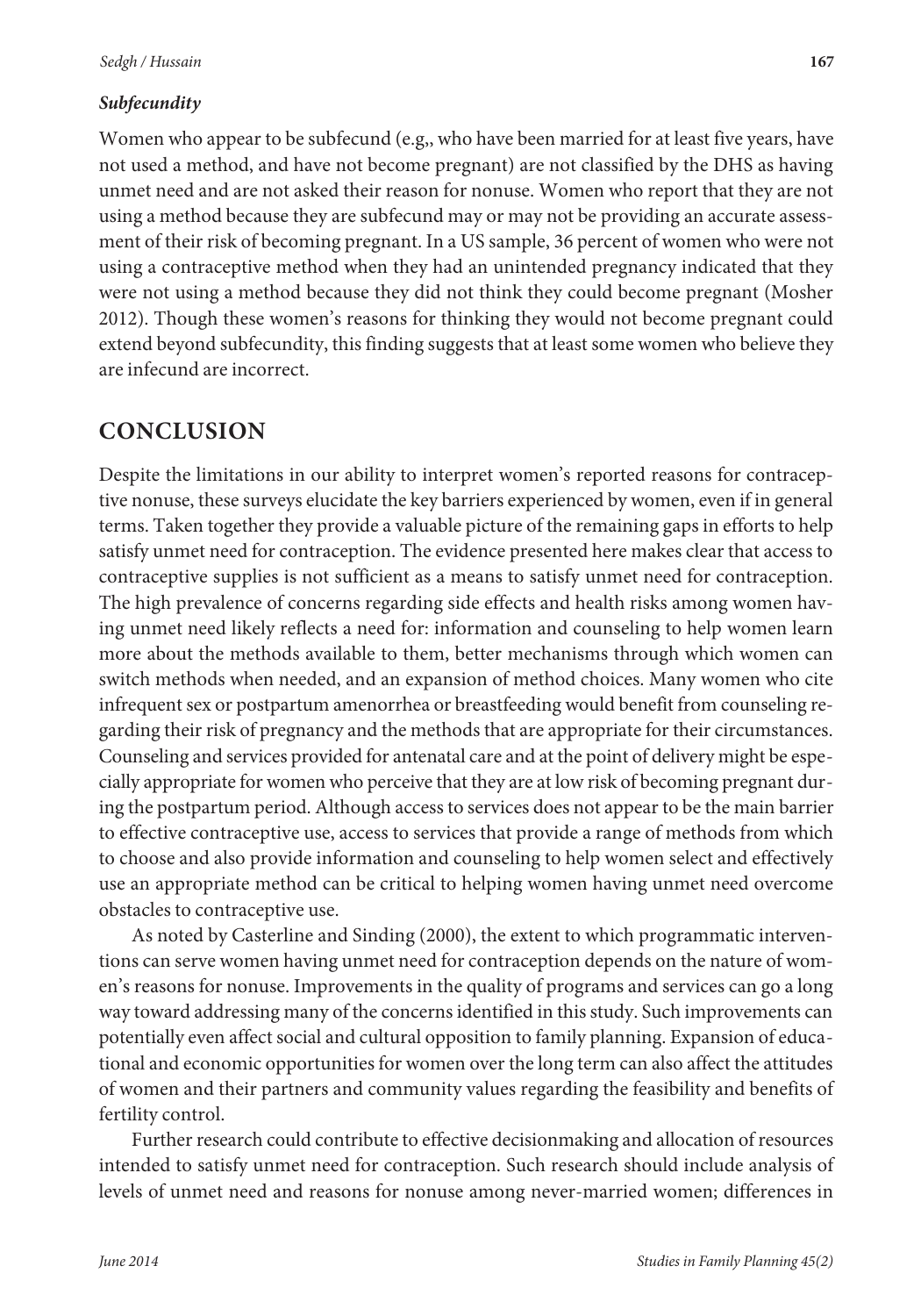## *Subfecundity*

Women who appear to be subfecund (e.g,, who have been married for at least five years, have not used a method, and have not become pregnant) are not classified by the DHS as having unmet need and are not asked their reason for nonuse. Women who report that they are not using a method because they are subfecund may or may not be providing an accurate assessment of their risk of becoming pregnant. In a US sample, 36 percent of women who were not using a contraceptive method when they had an unintended pregnancy indicated that they were not using a method because they did not think they could become pregnant (Mosher 2012). Though these women's reasons for thinking they would not become pregnant could extend beyond subfecundity, this finding suggests that at least some women who believe they are infecund are incorrect.

# **CONCLUSION**

Despite the limitations in our ability to interpret women's reported reasons for contraceptive nonuse, these surveys elucidate the key barriers experienced by women, even if in general terms. Taken together they provide a valuable picture of the remaining gaps in efforts to help satisfy unmet need for contraception. The evidence presented here makes clear that access to contraceptive supplies is not sufficient as a means to satisfy unmet need for contraception. The high prevalence of concerns regarding side effects and health risks among women having unmet need likely reflects a need for: information and counseling to help women learn more about the methods available to them, better mechanisms through which women can switch methods when needed, and an expansion of method choices. Many women who cite infrequent sex or postpartum amenorrhea or breastfeeding would benefit from counseling regarding their risk of pregnancy and the methods that are appropriate for their circumstances. Counseling and services provided for antenatal care and at the point of delivery might be especially appropriate for women who perceive that they are at low risk of becoming pregnant during the postpartum period. Although access to services does not appear to be the main barrier to effective contraceptive use, access to services that provide a range of methods from which to choose and also provide information and counseling to help women select and effectively use an appropriate method can be critical to helping women having unmet need overcome obstacles to contraceptive use.

As noted by Casterline and Sinding (2000), the extent to which programmatic interventions can serve women having unmet need for contraception depends on the nature of women's reasons for nonuse. Improvements in the quality of programs and services can go a long way toward addressing many of the concerns identified in this study. Such improvements can potentially even affect social and cultural opposition to family planning. Expansion of educational and economic opportunities for women over the long term can also affect the attitudes of women and their partners and community values regarding the feasibility and benefits of fertility control.

Further research could contribute to effective decisionmaking and allocation of resources intended to satisfy unmet need for contraception. Such research should include analysis of levels of unmet need and reasons for nonuse among never-married women; differences in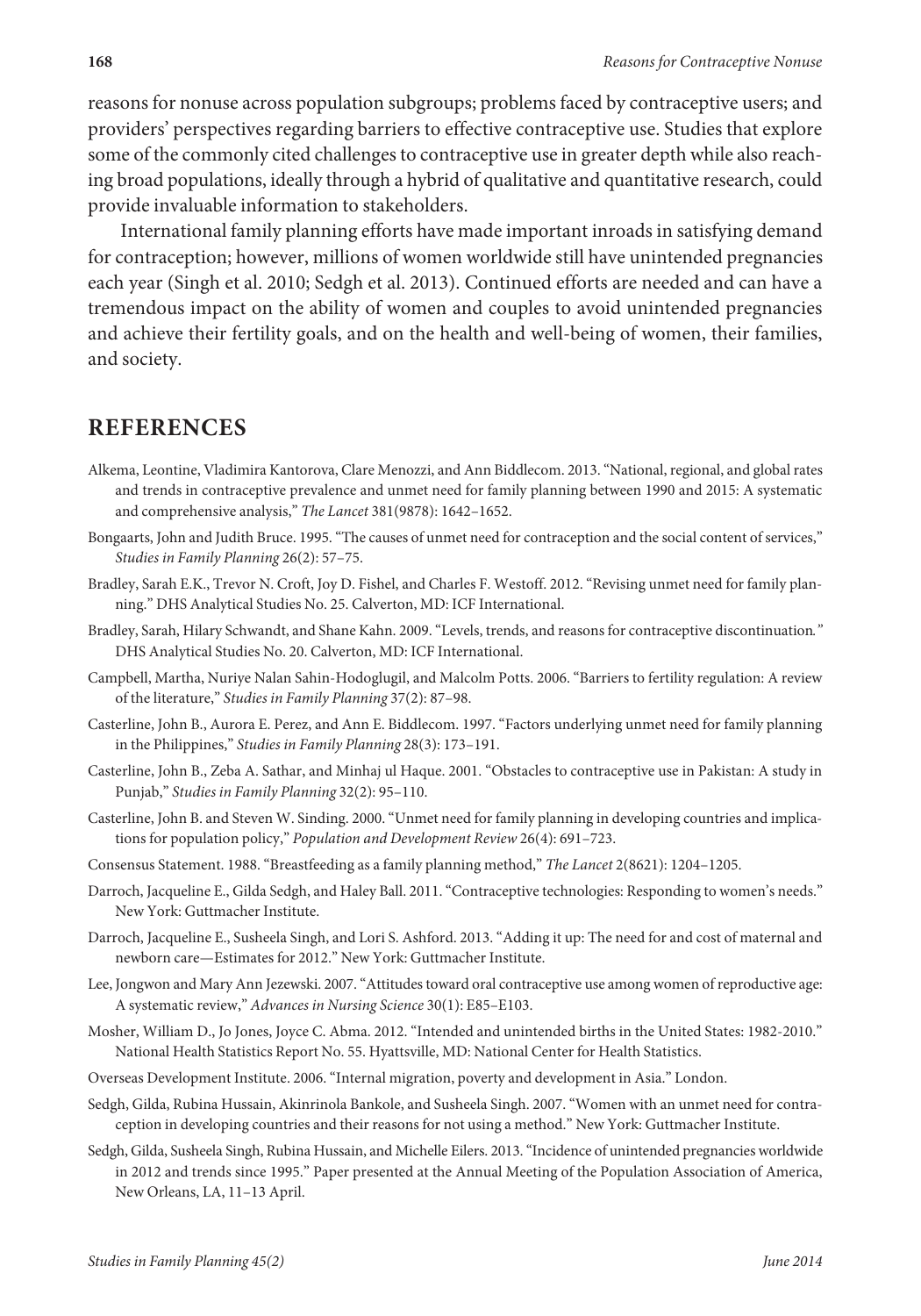reasons for nonuse across population subgroups; problems faced by contraceptive users; and providers' perspectives regarding barriers to effective contraceptive use. Studies that explore some of the commonly cited challenges to contraceptive use in greater depth while also reaching broad populations, ideally through a hybrid of qualitative and quantitative research, could provide invaluable information to stakeholders.

International family planning efforts have made important inroads in satisfying demand for contraception; however, millions of women worldwide still have unintended pregnancies each year (Singh et al. 2010; Sedgh et al. 2013). Continued efforts are needed and can have a tremendous impact on the ability of women and couples to avoid unintended pregnancies and achieve their fertility goals, and on the health and well-being of women, their families, and society.

## **REFERENCES**

- Alkema, Leontine, Vladimira Kantorova, Clare Menozzi, and Ann Biddlecom. 2013. "National, regional, and global rates and trends in contraceptive prevalence and unmet need for family planning between 1990 and 2015: A systematic and comprehensive analysis," *The Lancet* 381(9878): 1642–1652.
- Bongaarts, John and Judith Bruce. 1995. "The causes of unmet need for contraception and the social content of services," *Studies in Family Planning* 26(2): 57–75.
- Bradley, Sarah E.K., Trevor N. Croft, Joy D. Fishel, and Charles F. Westoff. 2012. "Revising unmet need for family planning." DHS Analytical Studies No. 25. Calverton, MD: ICF International.
- Bradley, Sarah, Hilary Schwandt, and Shane Kahn. 2009. "Levels, trends, and reasons for contraceptive discontinuation*."* DHS Analytical Studies No. 20. Calverton, MD: ICF International.
- Campbell, Martha, Nuriye Nalan Sahin-Hodoglugil, and Malcolm Potts. 2006. "Barriers to fertility regulation: A review of the literature," *Studies in Family Planning* 37(2): 87–98.
- Casterline, John B., Aurora E. Perez, and Ann E. Biddlecom. 1997. "Factors underlying unmet need for family planning in the Philippines," *Studies in Family Planning* 28(3): 173–191.
- Casterline, John B., Zeba A. Sathar, and Minhaj ul Haque. 2001. "Obstacles to contraceptive use in Pakistan: A study in Punjab," *Studies in Family Planning* 32(2): 95–110.
- Casterline, John B. and Steven W. Sinding. 2000. "Unmet need for family planning in developing countries and implications for population policy," *Population and Development Review* 26(4): 691–723.
- Consensus Statement. 1988. "Breastfeeding as a family planning method," *The Lancet* 2(8621): 1204–1205.
- Darroch, Jacqueline E., Gilda Sedgh, and Haley Ball. 2011. "Contraceptive technologies: Responding to women's needs." New York: Guttmacher Institute.
- Darroch, Jacqueline E., Susheela Singh, and Lori S. Ashford. 2013. "Adding it up: The need for and cost of maternal and newborn care—Estimates for 2012." New York: Guttmacher Institute.
- Lee, Jongwon and Mary Ann Jezewski. 2007. "Attitudes toward oral contraceptive use among women of reproductive age: A systematic review," *Advances in Nursing Science* 30(1): E85–E103.
- Mosher, William D., Jo Jones, Joyce C. Abma. 2012. "Intended and unintended births in the United States: 1982-2010." National Health Statistics Report No. 55. Hyattsville, MD: National Center for Health Statistics.
- Overseas Development Institute. 2006. "Internal migration, poverty and development in Asia." London.
- Sedgh, Gilda, Rubina Hussain, Akinrinola Bankole, and Susheela Singh. 2007. "Women with an unmet need for contraception in developing countries and their reasons for not using a method." New York: Guttmacher Institute.
- Sedgh, Gilda, Susheela Singh, Rubina Hussain, and Michelle Eilers. 2013. "Incidence of unintended pregnancies worldwide in 2012 and trends since 1995." Paper presented at the Annual Meeting of the Population Association of America, New Orleans, LA, 11–13 April.